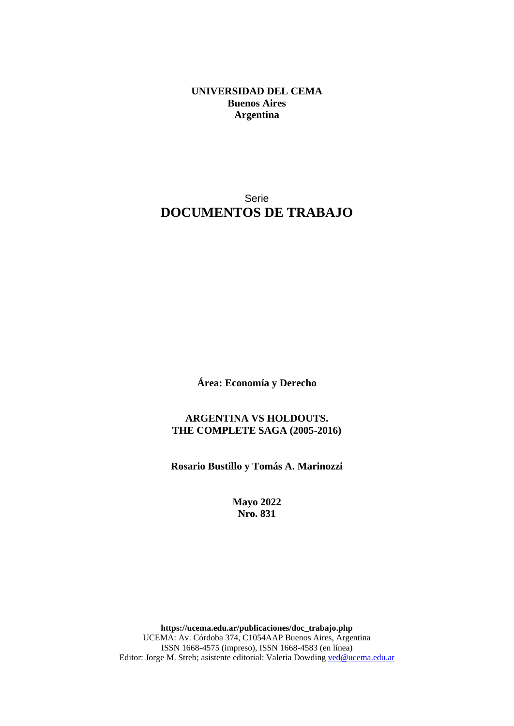**UNIVERSIDAD DEL CEMA Buenos Aires Argentina**

## Serie **DOCUMENTOS DE TRABAJO**

**Área: Economía y Derecho**

**ARGENTINA VS HOLDOUTS. THE COMPLETE SAGA (2005-2016)**

**Rosario Bustillo y Tomás A. Marinozzi**

**Mayo 2022 Nro. 831**

**https://ucema.edu.ar/publicaciones/doc\_trabajo.php** UCEMA: Av. Córdoba 374, C1054AAP Buenos Aires, Argentina ISSN 1668-4575 (impreso), ISSN 1668-4583 (en línea) Editor: Jorge M. Streb; asistente editorial: Valeria Dowding [ved@ucema.edu.ar](mailto:ved@ucema.edu.ar)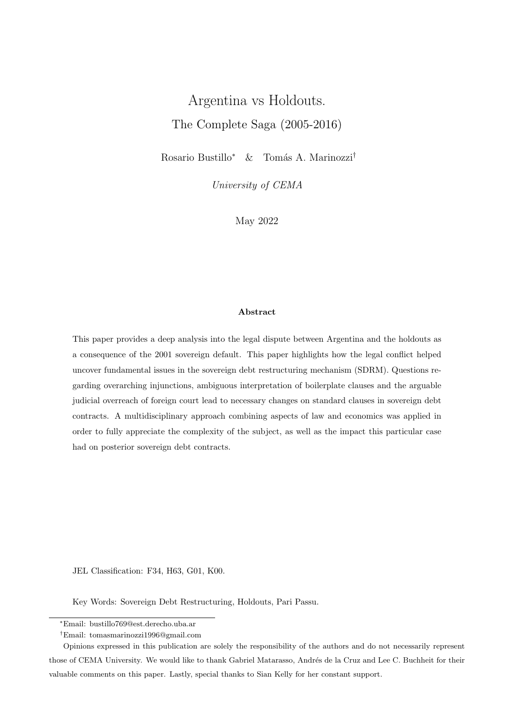# Argentina vs Holdouts. The Complete Saga (2005-2016)

Rosario Bustillo<sup>∗</sup> & Tomás A. Marinozzi<sup>†</sup>

University of CEMA

May 2022

#### Abstract

This paper provides a deep analysis into the legal dispute between Argentina and the holdouts as a consequence of the 2001 sovereign default. This paper highlights how the legal conflict helped uncover fundamental issues in the sovereign debt restructuring mechanism (SDRM). Questions regarding overarching injunctions, ambiguous interpretation of boilerplate clauses and the arguable judicial overreach of foreign court lead to necessary changes on standard clauses in sovereign debt contracts. A multidisciplinary approach combining aspects of law and economics was applied in order to fully appreciate the complexity of the subject, as well as the impact this particular case had on posterior sovereign debt contracts.

JEL Classification: F34, H63, G01, K00.

Key Words: Sovereign Debt Restructuring, Holdouts, Pari Passu.

<sup>∗</sup>Email: bustillo769@est.derecho.uba.ar

<sup>†</sup>Email: tomasmarinozzi1996@gmail.com

Opinions expressed in this publication are solely the responsibility of the authors and do not necessarily represent those of CEMA University. We would like to thank Gabriel Matarasso, Andrés de la Cruz and Lee C. Buchheit for their valuable comments on this paper. Lastly, special thanks to Sian Kelly for her constant support.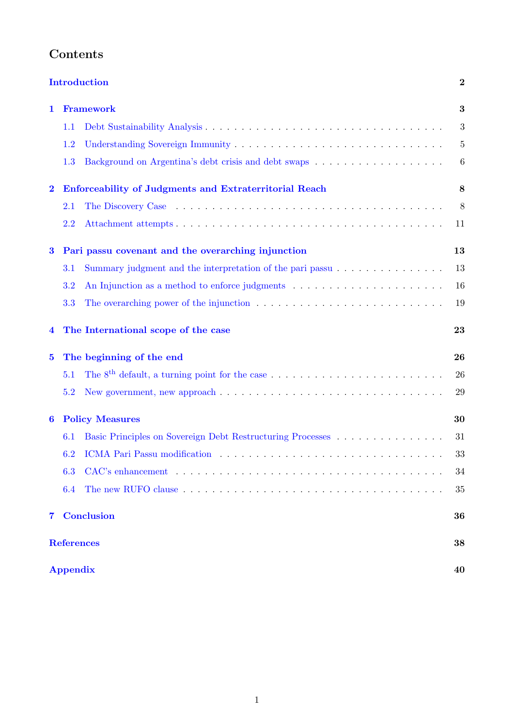|                         |                                                        | <b>Introduction</b>                                                                                          | $\boldsymbol{2}$ |  |  |  |
|-------------------------|--------------------------------------------------------|--------------------------------------------------------------------------------------------------------------|------------------|--|--|--|
| 1                       | <b>Framework</b>                                       |                                                                                                              |                  |  |  |  |
|                         | 1.1                                                    |                                                                                                              | 3                |  |  |  |
|                         | 1.2                                                    |                                                                                                              | $\overline{5}$   |  |  |  |
|                         | 1.3                                                    |                                                                                                              | 6                |  |  |  |
| $\overline{\mathbf{2}}$ | Enforceability of Judgments and Extraterritorial Reach |                                                                                                              |                  |  |  |  |
|                         | 2.1                                                    |                                                                                                              | 8                |  |  |  |
|                         | 2.2                                                    |                                                                                                              | 11               |  |  |  |
| $\bf{3}$                | Pari passu covenant and the overarching injunction     |                                                                                                              |                  |  |  |  |
|                         | 3.1                                                    | Summary judgment and the interpretation of the pari passu $\ldots \ldots \ldots \ldots \ldots$               | 13               |  |  |  |
|                         | 3.2                                                    |                                                                                                              | 16               |  |  |  |
|                         | 3.3                                                    | The overarching power of the injunction $\ldots \ldots \ldots \ldots \ldots \ldots \ldots \ldots$            | 19               |  |  |  |
| 4                       |                                                        | The International scope of the case                                                                          | 23               |  |  |  |
| $\bf{5}$                |                                                        | The beginning of the end                                                                                     | 26               |  |  |  |
|                         | 5.1                                                    |                                                                                                              | 26               |  |  |  |
|                         | 5.2                                                    | New government, new approach $\dots \dots \dots \dots \dots \dots \dots \dots \dots \dots \dots \dots \dots$ | 29               |  |  |  |
| 6                       | <b>Policy Measures</b>                                 |                                                                                                              |                  |  |  |  |
|                         | 6.1                                                    | Basic Principles on Sovereign Debt Restructuring Processes                                                   | 31               |  |  |  |
|                         | 6.2                                                    |                                                                                                              | 33               |  |  |  |
|                         | 6.3                                                    |                                                                                                              | 34               |  |  |  |
|                         | 6.4                                                    |                                                                                                              | 35               |  |  |  |
| $7^{\circ}$             |                                                        | <b>Conclusion</b>                                                                                            | 36               |  |  |  |
|                         |                                                        | <b>References</b>                                                                                            | 38               |  |  |  |
|                         | <b>Appendix</b>                                        |                                                                                                              |                  |  |  |  |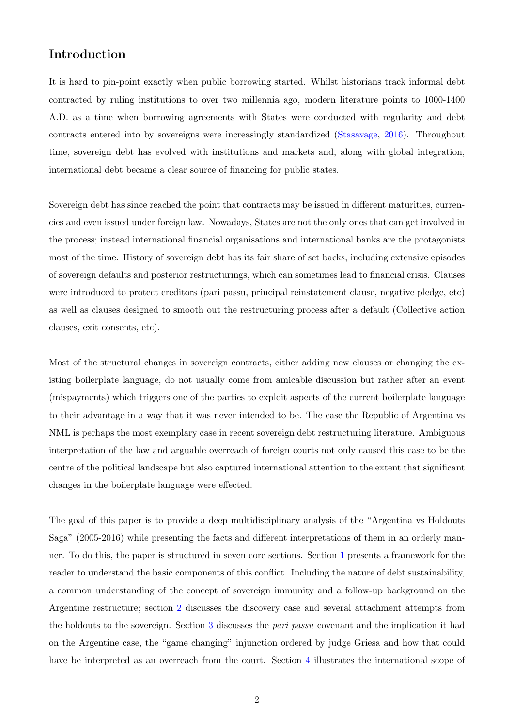### <span id="page-4-0"></span>Introduction

It is hard to pin-point exactly when public borrowing started. Whilst historians track informal debt contracted by ruling institutions to over two millennia ago, modern literature points to 1000-1400 A.D. as a time when borrowing agreements with States were conducted with regularity and debt contracts entered into by sovereigns were increasingly standardized [\(Stasavage,](#page-41-0) [2016\)](#page-41-0). Throughout time, sovereign debt has evolved with institutions and markets and, along with global integration, international debt became a clear source of financing for public states.

Sovereign debt has since reached the point that contracts may be issued in different maturities, currencies and even issued under foreign law. Nowadays, States are not the only ones that can get involved in the process; instead international financial organisations and international banks are the protagonists most of the time. History of sovereign debt has its fair share of set backs, including extensive episodes of sovereign defaults and posterior restructurings, which can sometimes lead to financial crisis. Clauses were introduced to protect creditors (pari passu, principal reinstatement clause, negative pledge, etc) as well as clauses designed to smooth out the restructuring process after a default (Collective action clauses, exit consents, etc).

Most of the structural changes in sovereign contracts, either adding new clauses or changing the existing boilerplate language, do not usually come from amicable discussion but rather after an event (mispayments) which triggers one of the parties to exploit aspects of the current boilerplate language to their advantage in a way that it was never intended to be. The case the Republic of Argentina vs NML is perhaps the most exemplary case in recent sovereign debt restructuring literature. Ambiguous interpretation of the law and arguable overreach of foreign courts not only caused this case to be the centre of the political landscape but also captured international attention to the extent that significant changes in the boilerplate language were effected.

The goal of this paper is to provide a deep multidisciplinary analysis of the "Argentina vs Holdouts Saga" (2005-2016) while presenting the facts and different interpretations of them in an orderly manner. To do this, the paper is structured in seven core sections. Section [1](#page-5-0) presents a framework for the reader to understand the basic components of this conflict. Including the nature of debt sustainability, a common understanding of the concept of sovereign immunity and a follow-up background on the Argentine restructure; section [2](#page-10-0) discusses the discovery case and several attachment attempts from the holdouts to the sovereign. Section [3](#page-15-0) discusses the pari passu covenant and the implication it had on the Argentine case, the "game changing" injunction ordered by judge Griesa and how that could have be interpreted as an overreach from the court. Section [4](#page-25-0) illustrates the international scope of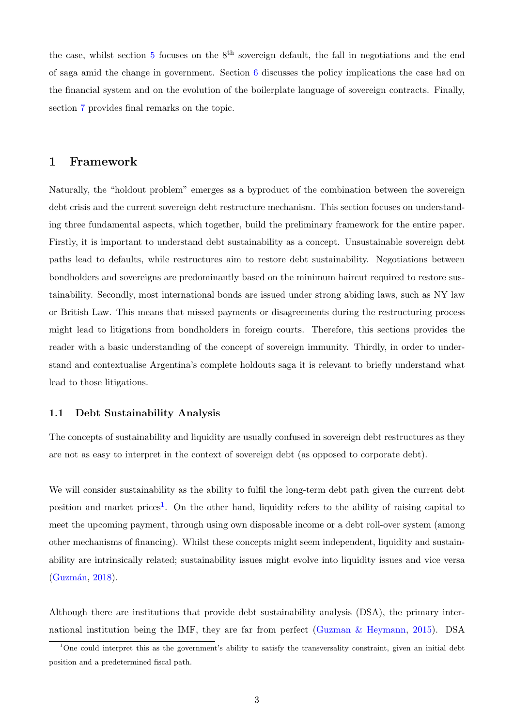the case, whilst section [5](#page-28-0) focuses on the  $8<sup>th</sup>$  sovereign default, the fall in negotiations and the end of saga amid the change in government. Section [6](#page-32-0) discusses the policy implications the case had on the financial system and on the evolution of the boilerplate language of sovereign contracts. Finally, section [7](#page-38-0) provides final remarks on the topic.

### <span id="page-5-0"></span>1 Framework

Naturally, the "holdout problem" emerges as a byproduct of the combination between the sovereign debt crisis and the current sovereign debt restructure mechanism. This section focuses on understanding three fundamental aspects, which together, build the preliminary framework for the entire paper. Firstly, it is important to understand debt sustainability as a concept. Unsustainable sovereign debt paths lead to defaults, while restructures aim to restore debt sustainability. Negotiations between bondholders and sovereigns are predominantly based on the minimum haircut required to restore sustainability. Secondly, most international bonds are issued under strong abiding laws, such as NY law or British Law. This means that missed payments or disagreements during the restructuring process might lead to litigations from bondholders in foreign courts. Therefore, this sections provides the reader with a basic understanding of the concept of sovereign immunity. Thirdly, in order to understand and contextualise Argentina's complete holdouts saga it is relevant to briefly understand what lead to those litigations.

#### <span id="page-5-1"></span>1.1 Debt Sustainability Analysis

The concepts of sustainability and liquidity are usually confused in sovereign debt restructures as they are not as easy to interpret in the context of sovereign debt (as opposed to corporate debt).

We will consider sustainability as the ability to fulfil the long-term debt path given the current debt position and market prices<sup>[1](#page-5-2)</sup>. On the other hand, liquidity refers to the ability of raising capital to meet the upcoming payment, through using own disposable income or a debt roll-over system (among other mechanisms of financing). Whilst these concepts might seem independent, liquidity and sustainability are intrinsically related; sustainability issues might evolve into liquidity issues and vice versa  $(Guzmán, 2018).$  $(Guzmán, 2018).$  $(Guzmán, 2018).$ 

Although there are institutions that provide debt sustainability analysis (DSA), the primary international institution being the IMF, they are far from perfect (Guzman  $\&$  Heymann, [2015\)](#page-40-2). DSA

<span id="page-5-2"></span><sup>&</sup>lt;sup>1</sup>One could interpret this as the government's ability to satisfy the transversality constraint, given an initial debt position and a predetermined fiscal path.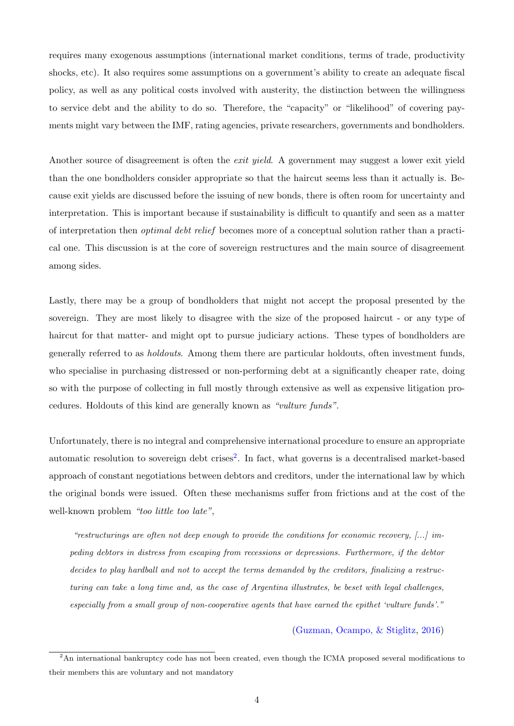requires many exogenous assumptions (international market conditions, terms of trade, productivity shocks, etc). It also requires some assumptions on a government's ability to create an adequate fiscal policy, as well as any political costs involved with austerity, the distinction between the willingness to service debt and the ability to do so. Therefore, the "capacity" or "likelihood" of covering payments might vary between the IMF, rating agencies, private researchers, governments and bondholders.

Another source of disagreement is often the *exit yield*. A government may suggest a lower exit yield than the one bondholders consider appropriate so that the haircut seems less than it actually is. Because exit yields are discussed before the issuing of new bonds, there is often room for uncertainty and interpretation. This is important because if sustainability is difficult to quantify and seen as a matter of interpretation then optimal debt relief becomes more of a conceptual solution rather than a practical one. This discussion is at the core of sovereign restructures and the main source of disagreement among sides.

Lastly, there may be a group of bondholders that might not accept the proposal presented by the sovereign. They are most likely to disagree with the size of the proposed haircut - or any type of haircut for that matter- and might opt to pursue judiciary actions. These types of bondholders are generally referred to as holdouts. Among them there are particular holdouts, often investment funds, who specialise in purchasing distressed or non-performing debt at a significantly cheaper rate, doing so with the purpose of collecting in full mostly through extensive as well as expensive litigation procedures. Holdouts of this kind are generally known as "vulture funds".

Unfortunately, there is no integral and comprehensive international procedure to ensure an appropriate automatic resolution to sovereign debt crises<sup>[2](#page-6-0)</sup>. In fact, what governs is a decentralised market-based approach of constant negotiations between debtors and creditors, under the international law by which the original bonds were issued. Often these mechanisms suffer from frictions and at the cost of the well-known problem "too little too late",

"restructurings are often not deep enough to provide the conditions for economic recovery,  $[\dots]$  impeding debtors in distress from escaping from recessions or depressions. Furthermore, if the debtor decides to play hardball and not to accept the terms demanded by the creditors, finalizing a restructuring can take a long time and, as the case of Argentina illustrates, be beset with legal challenges, especially from a small group of non-cooperative agents that have earned the epithet 'vulture funds'."

[\(Guzman, Ocampo, & Stiglitz,](#page-40-3) [2016\)](#page-40-3)

<span id="page-6-0"></span><sup>2</sup>An international bankruptcy code has not been created, even though the ICMA proposed several modifications to their members this are voluntary and not mandatory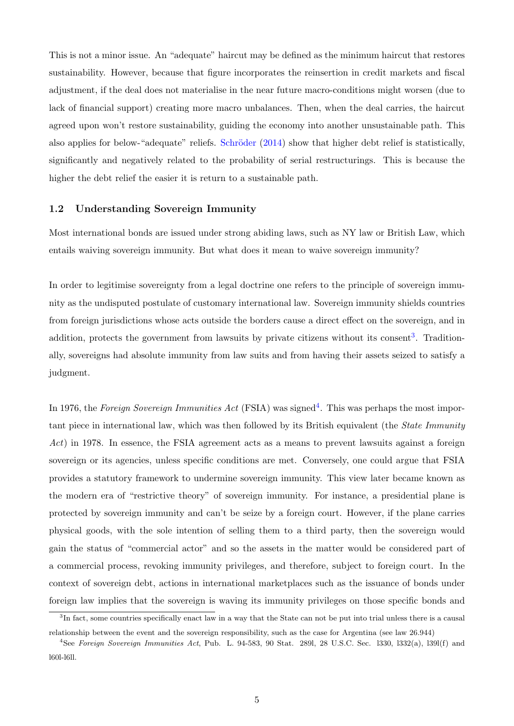This is not a minor issue. An "adequate" haircut may be defined as the minimum haircut that restores sustainability. However, because that figure incorporates the reinsertion in credit markets and fiscal adjustment, if the deal does not materialise in the near future macro-conditions might worsen (due to lack of financial support) creating more macro unbalances. Then, when the deal carries, the haircut agreed upon won't restore sustainability, guiding the economy into another unsustainable path. This also applies for below-"adequate" reliefs. Schröder  $(2014)$  show that higher debt relief is statistically, significantly and negatively related to the probability of serial restructurings. This is because the higher the debt relief the easier it is return to a sustainable path.

#### <span id="page-7-0"></span>1.2 Understanding Sovereign Immunity

Most international bonds are issued under strong abiding laws, such as NY law or British Law, which entails waiving sovereign immunity. But what does it mean to waive sovereign immunity?

In order to legitimise sovereignty from a legal doctrine one refers to the principle of sovereign immunity as the undisputed postulate of customary international law. Sovereign immunity shields countries from foreign jurisdictions whose acts outside the borders cause a direct effect on the sovereign, and in addition, protects the government from lawsuits by private citizens without its consent<sup>[3](#page-7-1)</sup>. Traditionally, sovereigns had absolute immunity from law suits and from having their assets seized to satisfy a judgment.

In 1976, the Foreign Sovereign Immunities Act (FSIA) was signed<sup>[4](#page-7-2)</sup>. This was perhaps the most important piece in international law, which was then followed by its British equivalent (the State Immunity Act) in 1978. In essence, the FSIA agreement acts as a means to prevent lawsuits against a foreign sovereign or its agencies, unless specific conditions are met. Conversely, one could argue that FSIA provides a statutory framework to undermine sovereign immunity. This view later became known as the modern era of "restrictive theory" of sovereign immunity. For instance, a presidential plane is protected by sovereign immunity and can't be seize by a foreign court. However, if the plane carries physical goods, with the sole intention of selling them to a third party, then the sovereign would gain the status of "commercial actor" and so the assets in the matter would be considered part of a commercial process, revoking immunity privileges, and therefore, subject to foreign court. In the context of sovereign debt, actions in international marketplaces such as the issuance of bonds under foreign law implies that the sovereign is waving its immunity privileges on those specific bonds and

<span id="page-7-1"></span><sup>&</sup>lt;sup>3</sup>In fact, some countries specifically enact law in a way that the State can not be put into trial unless there is a causal relationship between the event and the sovereign responsibility, such as the case for Argentina (see law 26.944)

<span id="page-7-2"></span><sup>4</sup>See Foreign Sovereign Immunities Act, Pub. L. 94-583, 90 Stat. 289l, 28 U.S.C. Sec. l330, l332(a), l39l(f) and l60l-l6ll.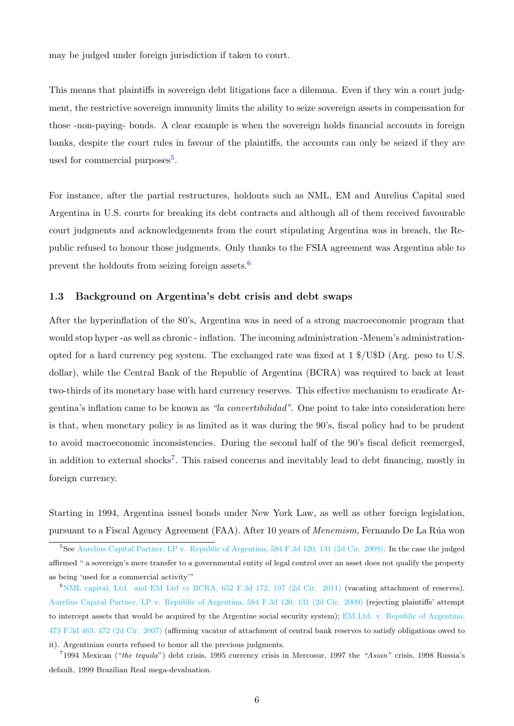may be judged under foreign jurisdiction if taken to court.

This means that plaintiffs in sovereign debt litigations face a dilemma. Even if they win a court judgment, the restrictive sovereign immunity limits the ability to seize sovereign assets in compensation for those -non-paying- bonds. A clear example is when the sovereign holds financial accounts in foreign banks, despite the court rules in favour of the plaintiffs, the accounts can only be seized if they are used for commercial purposes<sup>[5](#page-8-1)</sup>.

For instance, after the partial restructures, holdouts such as NML, EM and Aurelius Capital sued Argentina in U.S. courts for breaking its debt contracts and although all of them received favourable court judgments and acknowledgements from the court stipulating Argentina was in breach, the Republic refused to honour those judgments. Only thanks to the FSIA agreement was Argentina able to prevent the holdouts from seizing foreign assets.[6](#page-8-2)

#### <span id="page-8-0"></span>1.3 Background on Argentina's debt crisis and debt swaps

After the hyperinflation of the 80's, Argentina was in need of a strong macroeconomic program that would stop hyper -as well as chronic - inflation. The incoming administration -Menem's administrationopted for a hard currency peg system. The exchanged rate was fixed at 1 \$/U\$D (Arg. peso to U.S. dollar), while the Central Bank of the Republic of Argentina (BCRA) was required to back at least two-thirds of its monetary base with hard currency reserves. This effective mechanism to eradicate Argentina's inflation came to be known as "la convertibilidad". One point to take into consideration here is that, when monetary policy is as limited as it was during the 90's, fiscal policy had to be prudent to avoid macroeconomic inconsistencies. During the second half of the 90's fiscal deficit reemerged, in addition to external shocks<sup>[7](#page-8-3)</sup>. This raised concerns and inevitably lead to debt financing, mostly in foreign currency.

Starting in 1994, Argentina issued bonds under New York Law, as well as other foreign legislation, pursuant to a Fiscal Agency Agreement (FAA). After 10 years of Menemism, Fernando De La R´ua won

<span id="page-8-1"></span><sup>5</sup>See [Aurelius Capital Partner, LP v. Republic of Argentina, 584 F.3d 120, 131 \(2d Cir. 2009\).](https://www.leagle.com/decision/infco20091015077) In the case the judged affirmed " a sovereign's mere transfer to a governmental entity of legal control over an asset does not qualify the property as being 'used for a commercial activity'"

<span id="page-8-2"></span> $6$ [NML capital, Ltd. and EM Ltd vs BCRA, 652 F.3d 172, 197 \(2d Cir. 2011\)](https://www.courtlistener.com/pdf/2011/07/05/NML_Capital_Ltd._v._Banco_Central_de_la_Rep\unhbox \voidb@x \bgroup \let \unhbox \voidb@x \setbox \@tempboxa \hbox {u\global \mathchardef \accent@spacefactor \spacefactor }\let \begingroup \endgroup \relax \let \ignorespaces \relax \accent 19 u\egroup \spacefactor \accent@spacefactor blica_Argentina.pdf) (vacating attachment of reserves). [Aurelius Capital Partner, LP v. Republic of Argentina, 584 F.3d 120, 131 \(2d Cir. 2009\)](https://www.leagle.com/decision/infco20091015077) (rejecting plaintiffs' attempt to intercept assets that would be acquired by the Argentine social security system); [EM Ltd. v. Republic of Argentina,](https://casetext.com/case/em-ltd-v-republic-of-argentina-10) [473 F.3d 463, 472 \(2d Cir. 2007\)](https://casetext.com/case/em-ltd-v-republic-of-argentina-10) (affirming vacatur of attachment of central bank reserves to satisfy obligations owed to it). Argentinian courts refused to honor all the previous judgments.

<span id="page-8-3"></span><sup>&</sup>lt;sup>7</sup>1994 Mexican ("the tequila") debt crisis, 1995 currency crisis in Mercosur, 1997 the "Asian" crisis, 1998 Russia's default, 1999 Brazilian Real mega-devaluation.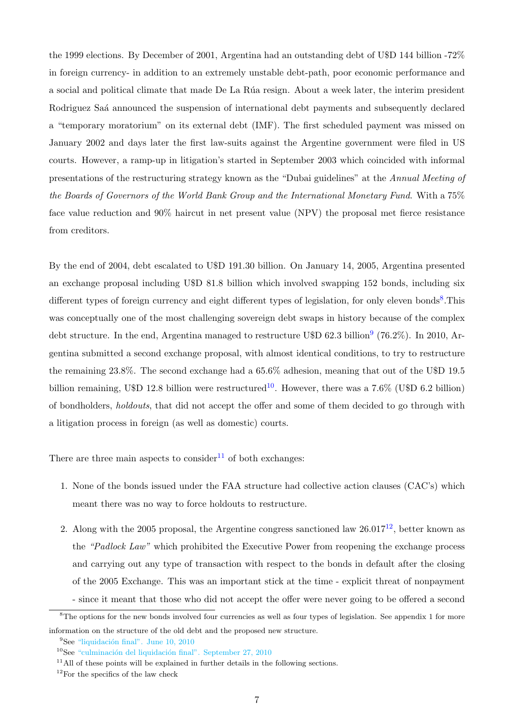the 1999 elections. By December of 2001, Argentina had an outstanding debt of U\$D 144 billion -72% in foreign currency- in addition to an extremely unstable debt-path, poor economic performance and a social and political climate that made De La Rúa resign. About a week later, the interim president Rodriguez Saá announced the suspension of international debt payments and subsequently declared a "temporary moratorium" on its external debt (IMF). The first scheduled payment was missed on January 2002 and days later the first law-suits against the Argentine government were filed in US courts. However, a ramp-up in litigation's started in September 2003 which coincided with informal presentations of the restructuring strategy known as the "Dubai guidelines" at the Annual Meeting of the Boards of Governors of the World Bank Group and the International Monetary Fund. With a 75% face value reduction and 90% haircut in net present value (NPV) the proposal met fierce resistance from creditors.

By the end of 2004, debt escalated to U\$D 191.30 billion. On January 14, 2005, Argentina presented an exchange proposal including U\$D 81.8 billion which involved swapping 152 bonds, including six different types of foreign currency and eight different types of legislation, for only eleven bonds<sup>[8](#page-9-0)</sup>. This was conceptually one of the most challenging sovereign debt swaps in history because of the complex debt structure. In the end, Argentina managed to restructure U\$D 62.3 billion<sup>[9](#page-9-1)</sup> (76.2%). In 2010, Argentina submitted a second exchange proposal, with almost identical conditions, to try to restructure the remaining 23.8%. The second exchange had a 65.6% adhesion, meaning that out of the U\$D 19.5 billion remaining, U\$D 12.8 billion were restructured<sup>[10](#page-9-2)</sup>. However, there was a 7.6% (U\$D 6.2 billion) of bondholders, holdouts, that did not accept the offer and some of them decided to go through with a litigation process in foreign (as well as domestic) courts.

There are three main aspects to consider<sup>[11](#page-9-3)</sup> of both exchanges:

- 1. None of the bonds issued under the FAA structure had collective action clauses (CAC's) which meant there was no way to force holdouts to restructure.
- 2. Along with the 2005 proposal, the Argentine congress sanctioned law  $26.017^{12}$  $26.017^{12}$  $26.017^{12}$ , better known as the "Padlock Law" which prohibited the Executive Power from reopening the exchange process and carrying out any type of transaction with respect to the bonds in default after the closing of the 2005 Exchange. This was an important stick at the time - explicit threat of nonpayment - since it meant that those who did not accept the offer were never going to be offered a second

<span id="page-9-0"></span><sup>&</sup>lt;sup>8</sup>The options for the new bonds involved four currencies as well as four types of legislation. See appendix 1 for more information on the structure of the old debt and the proposed new structure.

<span id="page-9-2"></span><span id="page-9-1"></span> $9$ See "liquidación final". June 10, 2010

<span id="page-9-3"></span> $10$ See "culminación del liquidación final". September 27, 2010

<span id="page-9-4"></span> $11$ All of these points will be explained in further details in the following sections.

 $12$ For the specifics of the law check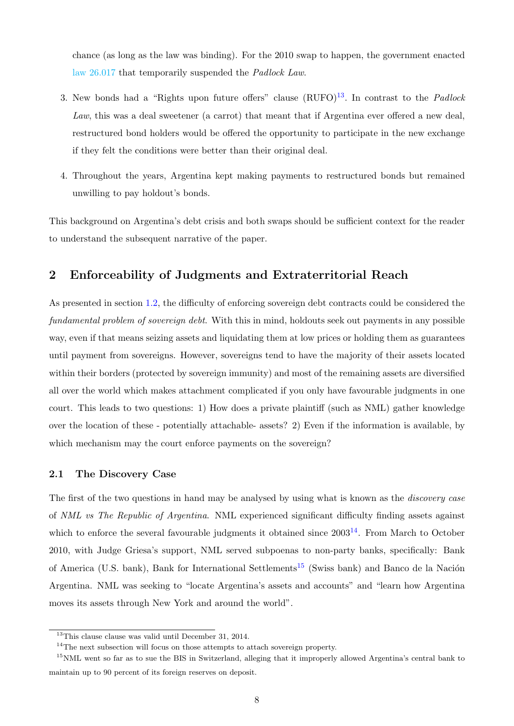chance (as long as the law was binding). For the 2010 swap to happen, the government enacted [law 26.017](http://servicios.infoleg.gob.ar/infolegInternet/anexos/160000-164999/161317/norma.htm) that temporarily suspended the Padlock Law.

- 3. New bonds had a "Rights upon future offers" clause  $(RUFO)^{13}$  $(RUFO)^{13}$  $(RUFO)^{13}$ . In contrast to the *Padlock* Law, this was a deal sweetener (a carrot) that meant that if Argentina ever offered a new deal, restructured bond holders would be offered the opportunity to participate in the new exchange if they felt the conditions were better than their original deal.
- 4. Throughout the years, Argentina kept making payments to restructured bonds but remained unwilling to pay holdout's bonds.

This background on Argentina's debt crisis and both swaps should be sufficient context for the reader to understand the subsequent narrative of the paper.

### <span id="page-10-0"></span>2 Enforceability of Judgments and Extraterritorial Reach

As presented in section [1.2,](#page-7-0) the difficulty of enforcing sovereign debt contracts could be considered the fundamental problem of sovereign debt. With this in mind, holdouts seek out payments in any possible way, even if that means seizing assets and liquidating them at low prices or holding them as guarantees until payment from sovereigns. However, sovereigns tend to have the majority of their assets located within their borders (protected by sovereign immunity) and most of the remaining assets are diversified all over the world which makes attachment complicated if you only have favourable judgments in one court. This leads to two questions: 1) How does a private plaintiff (such as NML) gather knowledge over the location of these - potentially attachable- assets? 2) Even if the information is available, by which mechanism may the court enforce payments on the sovereign?

#### <span id="page-10-1"></span>2.1 The Discovery Case

The first of the two questions in hand may be analysed by using what is known as the *discovery case* of NML vs The Republic of Argentina. NML experienced significant difficulty finding assets against which to enforce the several favourable judgments it obtained since  $2003<sup>14</sup>$  $2003<sup>14</sup>$  $2003<sup>14</sup>$ . From March to October 2010, with Judge Griesa's support, NML served subpoenas to non-party banks, specifically: Bank of America (U.S. bank), Bank for International Settlements<sup>[15](#page-10-4)</sup> (Swiss bank) and Banco de la Nación Argentina. NML was seeking to "locate Argentina's assets and accounts" and "learn how Argentina moves its assets through New York and around the world".

<span id="page-10-3"></span><span id="page-10-2"></span> $\frac{13}{13}$ This clause clause was valid until December 31, 2014.

<span id="page-10-4"></span><sup>&</sup>lt;sup>14</sup>The next subsection will focus on those attempts to attach sovereign property.

<sup>&</sup>lt;sup>15</sup>NML went so far as to sue the BIS in Switzerland, alleging that it improperly allowed Argentina's central bank to maintain up to 90 percent of its foreign reserves on deposit.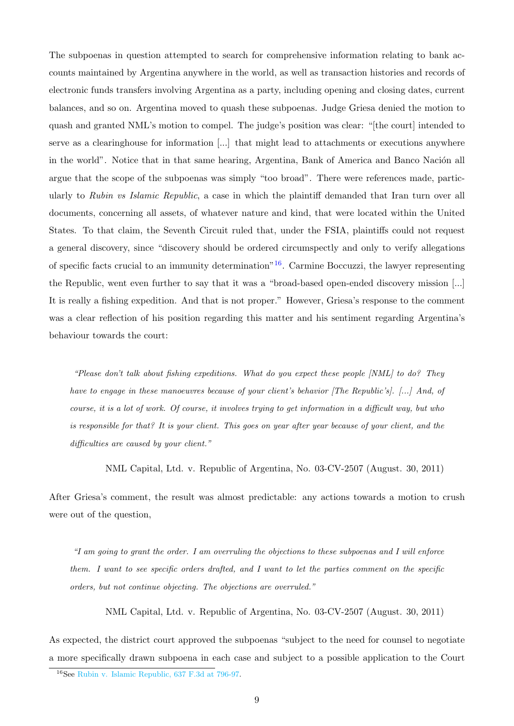The subpoenas in question attempted to search for comprehensive information relating to bank accounts maintained by Argentina anywhere in the world, as well as transaction histories and records of electronic funds transfers involving Argentina as a party, including opening and closing dates, current balances, and so on. Argentina moved to quash these subpoenas. Judge Griesa denied the motion to quash and granted NML's motion to compel. The judge's position was clear: "[the court] intended to serve as a clearinghouse for information [...] that might lead to attachments or executions anywhere in the world". Notice that in that same hearing, Argentina, Bank of America and Banco Nación all argue that the scope of the subpoenas was simply "too broad". There were references made, particularly to Rubin vs Islamic Republic, a case in which the plaintiff demanded that Iran turn over all documents, concerning all assets, of whatever nature and kind, that were located within the United States. To that claim, the Seventh Circuit ruled that, under the FSIA, plaintiffs could not request a general discovery, since "discovery should be ordered circumspectly and only to verify allegations of specific facts crucial to an immunity determination<sup> $n<sup>16</sup>$  $n<sup>16</sup>$  $n<sup>16</sup>$ . Carmine Boccuzzi, the lawyer representing</sup> the Republic, went even further to say that it was a "broad-based open-ended discovery mission [...] It is really a fishing expedition. And that is not proper." However, Griesa's response to the comment was a clear reflection of his position regarding this matter and his sentiment regarding Argentina's behaviour towards the court:

"Please don't talk about fishing expeditions. What do you expect these people  $|NML|$  to do? They have to engage in these manoeuvres because of your client's behavior (The Republic's). [...] And, of course, it is a lot of work. Of course, it involves trying to get information in a difficult way, but who is responsible for that? It is your client. This goes on year after year because of your client, and the difficulties are caused by your client."

NML Capital, Ltd. v. Republic of Argentina, No. 03-CV-2507 (August. 30, 2011)

After Griesa's comment, the result was almost predictable: any actions towards a motion to crush were out of the question,

"I am going to grant the order. I am overruling the objections to these subpoenas and I will enforce them. I want to see specific orders drafted, and I want to let the parties comment on the specific orders, but not continue objecting. The objections are overruled."

NML Capital, Ltd. v. Republic of Argentina, No. 03-CV-2507 (August. 30, 2011)

As expected, the district court approved the subpoenas "subject to the need for counsel to negotiate a more specifically drawn subpoena in each case and subject to a possible application to the Court

<span id="page-11-0"></span><sup>16</sup>See [Rubin v. Islamic Republic, 637 F.3d at 796-97.](https://casetext.com/case/rubin-v-the-islamic-republic-of-iran?__cf_chl_jschl_tk__=pmd_205d3cb2a96428d77693439a567917cba9da48fc-1629939783-0-gqNtZGzNAjijcnBszQfO)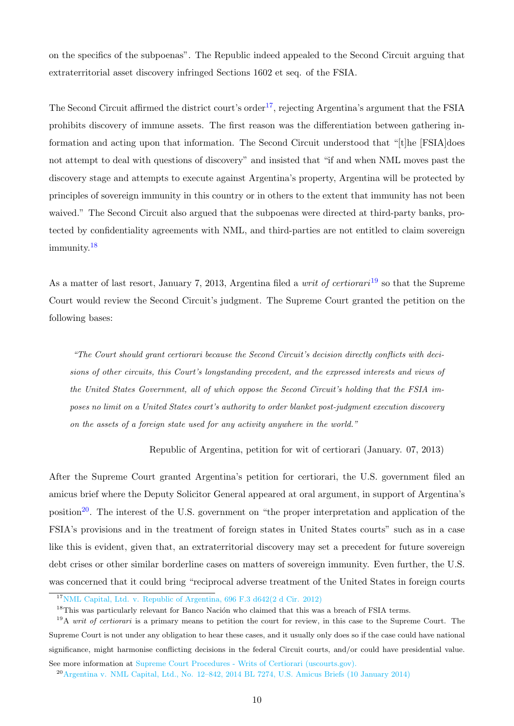on the specifics of the subpoenas". The Republic indeed appealed to the Second Circuit arguing that extraterritorial asset discovery infringed Sections 1602 et seq. of the FSIA.

The Second Circuit affirmed the district court's order<sup>[17](#page-12-0)</sup>, rejecting Argentina's argument that the FSIA prohibits discovery of immune assets. The first reason was the differentiation between gathering information and acting upon that information. The Second Circuit understood that "[t]he [FSIA]does not attempt to deal with questions of discovery" and insisted that "if and when NML moves past the discovery stage and attempts to execute against Argentina's property, Argentina will be protected by principles of sovereign immunity in this country or in others to the extent that immunity has not been waived." The Second Circuit also argued that the subpoenas were directed at third-party banks, protected by confidentiality agreements with NML, and third-parties are not entitled to claim sovereign immunity.[18](#page-12-1)

As a matter of last resort, January 7, 2013, Argentina filed a *writ of certiorari*  $19$  so that the Supreme Court would review the Second Circuit's judgment. The Supreme Court granted the petition on the following bases:

"The Court should grant certiorari because the Second Circuit's decision directly conflicts with decisions of other circuits, this Court's longstanding precedent, and the expressed interests and views of the United States Government, all of which oppose the Second Circuit's holding that the FSIA imposes no limit on a United States court's authority to order blanket post-judgment execution discovery on the assets of a foreign state used for any activity anywhere in the world."

Republic of Argentina, petition for wit of certiorari (January. 07, 2013)

After the Supreme Court granted Argentina's petition for certiorari, the U.S. government filed an amicus brief where the Deputy Solicitor General appeared at oral argument, in support of Argentina's position<sup>[20](#page-12-3)</sup>. The interest of the U.S. government on "the proper interpretation and application of the FSIA's provisions and in the treatment of foreign states in United States courts" such as in a case like this is evident, given that, an extraterritorial discovery may set a precedent for future sovereign debt crises or other similar borderline cases on matters of sovereign immunity. Even further, the U.S. was concerned that it could bring "reciprocal adverse treatment of the United States in foreign courts

<span id="page-12-1"></span><span id="page-12-0"></span><sup>&</sup>lt;sup>17</sup>NML Capital, Ltd. v. Republic of Argentina,  $696$  F.3 d $642$ (2 d Cir. 2012)

<span id="page-12-2"></span> $18$ This was particularly relevant for Banco Nación who claimed that this was a breach of FSIA terms.

<sup>&</sup>lt;sup>19</sup>A writ of certiorari is a primary means to petition the court for review, in this case to the Supreme Court. The Supreme Court is not under any obligation to hear these cases, and it usually only does so if the case could have national significance, might harmonise conflicting decisions in the federal Circuit courts, and/or could have presidential value. See more information at [Supreme Court Procedures - Writs of Certiorari \(uscourts.gov\).](https://www.uscourts.gov/about-federal-courts/educational-resources/about-educational-outreach/activity-resources/supreme-1)

<span id="page-12-3"></span><sup>20</sup>[Argentina v. NML Capital, Ltd., No. 12–842, 2014 BL 7274, U.S. Amicus Briefs \(10 January 2014\)](https://www.shearman.com/~/media/Files/Services/Argentine-Sovereign-Debt/2014/Arg4612842petamcuusaauthcheckdam.pdf)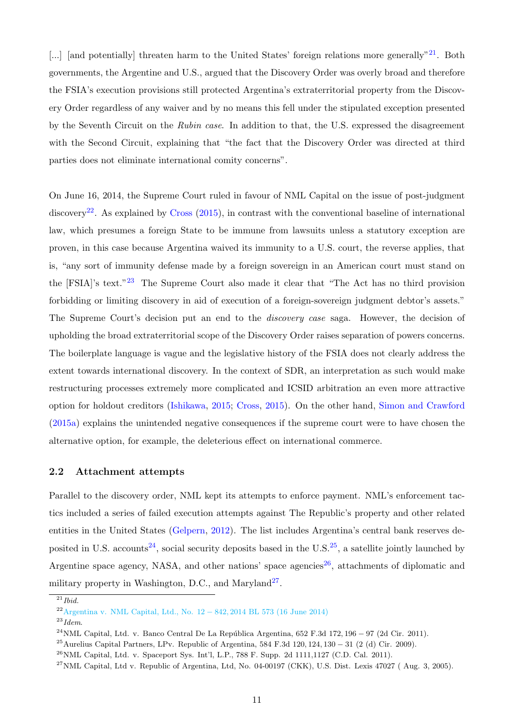[...] [and potentially] threaten harm to the United States' foreign relations more generally"  $2^1$ . Both governments, the Argentine and U.S., argued that the Discovery Order was overly broad and therefore the FSIA's execution provisions still protected Argentina's extraterritorial property from the Discovery Order regardless of any waiver and by no means this fell under the stipulated exception presented by the Seventh Circuit on the Rubin case. In addition to that, the U.S. expressed the disagreement with the Second Circuit, explaining that "the fact that the Discovery Order was directed at third parties does not eliminate international comity concerns".

On June 16, 2014, the Supreme Court ruled in favour of NML Capital on the issue of post-judgment discovery<sup>[22](#page-13-2)</sup>. As explained by [Cross](#page-40-4)  $(2015)$ , in contrast with the conventional baseline of international law, which presumes a foreign State to be immune from lawsuits unless a statutory exception are proven, in this case because Argentina waived its immunity to a U.S. court, the reverse applies, that is, "any sort of immunity defense made by a foreign sovereign in an American court must stand on the [FSIA]'s text."[23](#page-13-3) The Supreme Court also made it clear that "The Act has no third provision forbidding or limiting discovery in aid of execution of a foreign-sovereign judgment debtor's assets." The Supreme Court's decision put an end to the discovery case saga. However, the decision of upholding the broad extraterritorial scope of the Discovery Order raises separation of powers concerns. The boilerplate language is vague and the legislative history of the FSIA does not clearly address the extent towards international discovery. In the context of SDR, an interpretation as such would make restructuring processes extremely more complicated and ICSID arbitration an even more attractive option for holdout creditors [\(Ishikawa,](#page-40-5) [2015;](#page-40-5) [Cross,](#page-40-4) [2015\)](#page-40-4). On the other hand, [Simon and Crawford](#page-41-2) [\(2015a\)](#page-41-2) explains the unintended negative consequences if the supreme court were to have chosen the alternative option, for example, the deleterious effect on international commerce.

#### <span id="page-13-0"></span>2.2 Attachment attempts

Parallel to the discovery order, NML kept its attempts to enforce payment. NML's enforcement tactics included a series of failed execution attempts against The Republic's property and other related entities in the United States [\(Gelpern,](#page-40-6) [2012\)](#page-40-6). The list includes Argentina's central bank reserves de-posited in U.S. accounts<sup>[24](#page-13-4)</sup>, social security deposits based in the U.S.<sup>[25](#page-13-5)</sup>, a satellite jointly launched by Argentine space agency, NASA, and other nations' space agencies<sup>[26](#page-13-6)</sup>, attachments of diplomatic and military property in Washington, D.C., and Maryland<sup>[27](#page-13-7)</sup>.

<span id="page-13-1"></span> $^{21}$ *Ibid.* 

<span id="page-13-3"></span><span id="page-13-2"></span><sup>&</sup>lt;sup>22</sup>Argentina v. NML Capital, Ltd., No.  $12 - 842,2014$  BL 573 (16 June 2014)

<span id="page-13-4"></span> $^{23}$ *Idem.* 

<span id="page-13-5"></span><sup>&</sup>lt;sup>24</sup>NML Capital, Ltd. v. Banco Central De La República Argentina,  $652$  F.3d  $172$ ,  $196 - 97$  (2d Cir. 2011).

<span id="page-13-6"></span><sup>&</sup>lt;sup>25</sup>Aurelius Capital Partners, LPv. Republic of Argentina, 584 F.3d 120, 124, 130 – 31 (2 (d) Cir. 2009).

<span id="page-13-7"></span> $^{26}$ NML Capital, Ltd. v. Spaceport Sys. Int'l, L.P., 788 F. Supp. 2d 1111,1127 (C.D. Cal. 2011).

 $^{27}$ NML Capital, Ltd v. Republic of Argentina, Ltd, No. 04-00197 (CKK), U.S. Dist. Lexis 47027 (Aug. 3, 2005).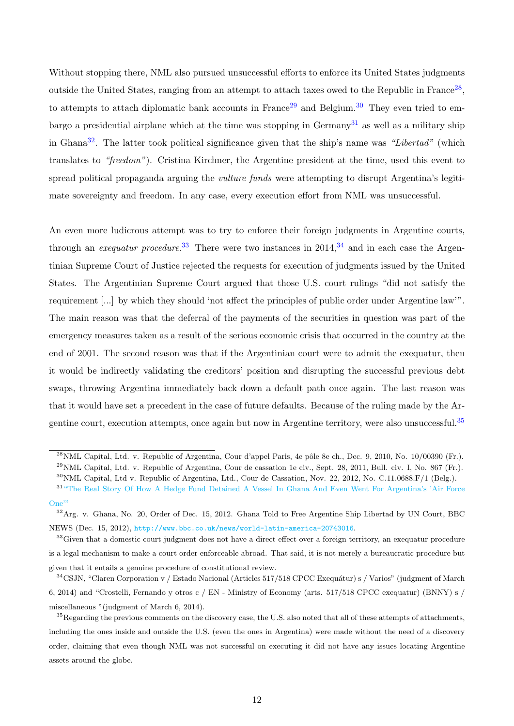Without stopping there, NML also pursued unsuccessful efforts to enforce its United States judgments outside the United States, ranging from an attempt to attach taxes owed to the Republic in France<sup>[28](#page-14-0)</sup>, to attempts to attach diplomatic bank accounts in France<sup>[29](#page-14-1)</sup> and Belgium.<sup>[30](#page-14-2)</sup> They even tried to embargo a presidential airplane which at the time was stopping in  $\text{Germany}^{31}$  $\text{Germany}^{31}$  $\text{Germany}^{31}$  as well as a military ship in Ghana<sup>[32](#page-14-4)</sup>. The latter took political significance given that the ship's name was "Libertad" (which translates to "freedom"). Cristina Kirchner, the Argentine president at the time, used this event to spread political propaganda arguing the *vulture funds* were attempting to disrupt Argentina's legitimate sovereignty and freedom. In any case, every execution effort from NML was unsuccessful.

An even more ludicrous attempt was to try to enforce their foreign judgments in Argentine courts, through an *exequatur procedure*.<sup>[33](#page-14-5)</sup> There were two instances in  $2014$ ,<sup>[34](#page-14-6)</sup> and in each case the Argentinian Supreme Court of Justice rejected the requests for execution of judgments issued by the United States. The Argentinian Supreme Court argued that those U.S. court rulings "did not satisfy the requirement [...] by which they should 'not affect the principles of public order under Argentine law'". The main reason was that the deferral of the payments of the securities in question was part of the emergency measures taken as a result of the serious economic crisis that occurred in the country at the end of 2001. The second reason was that if the Argentinian court were to admit the exequatur, then it would be indirectly validating the creditors' position and disrupting the successful previous debt swaps, throwing Argentina immediately back down a default path once again. The last reason was that it would have set a precedent in the case of future defaults. Because of the ruling made by the Argentine court, execution attempts, once again but now in Argentine territory, were also unsuccessful.[35](#page-14-7)

<span id="page-14-1"></span><span id="page-14-0"></span> $^{28}$ NML Capital, Ltd. v. Republic of Argentina, Cour d'appel Paris, 4e pôle 8e ch., Dec. 9, 2010, No. 10/00390 (Fr.).

<span id="page-14-2"></span> $^{29}$ NML Capital, Ltd. v. Republic of Argentina, Cour de cassation 1e civ., Sept. 28, 2011, Bull. civ. I, No. 867 (Fr.).  $30\text{NML}$  Capital, Ltd v. Republic of Argentina, Ltd., Cour de Cassation, Nov. 22, 2012, No. C.11.0688.F/1 (Belg.).

<span id="page-14-3"></span><sup>&</sup>lt;sup>31</sup> ["The Real Story Of How A Hedge Fund Detained A Vessel In Ghana And Even Went For Argentina's 'Air Force](https://www.forbes.com/sites/afontevecchia/2012/10/05/the-real-story-behind-the-argentine-vessel-in-ghana-and-how-hedge-funds-tried-to-seize-the-presidential-plane/?sh=78d2814d25aa) [One'"](https://www.forbes.com/sites/afontevecchia/2012/10/05/the-real-story-behind-the-argentine-vessel-in-ghana-and-how-hedge-funds-tried-to-seize-the-presidential-plane/?sh=78d2814d25aa)

<span id="page-14-4"></span><sup>&</sup>lt;sup>32</sup>Arg. v. Ghana, No. 20, Order of Dec. 15, 2012. Ghana Told to Free Argentine Ship Libertad by UN Court, BBC NEWS (Dec. 15, 2012), <http://www.bbc.co.uk/news/world-latin-america-20743016>.

<span id="page-14-5"></span><sup>&</sup>lt;sup>33</sup>Given that a domestic court judgment does not have a direct effect over a foreign territory, an exequatur procedure is a legal mechanism to make a court order enforceable abroad. That said, it is not merely a bureaucratic procedure but given that it entails a genuine procedure of constitutional review.

<span id="page-14-6"></span> $34$ CSJN, "Claren Corporation v / Estado Nacional (Articles 517/518 CPCC Exequátur) s / Varios" (judgment of March 6, 2014) and "Crostelli, Fernando y otros c / EN - Ministry of Economy (arts. 517/518 CPCC exequatur) (BNNY) s / miscellaneous "(judgment of March 6, 2014).

<span id="page-14-7"></span><sup>&</sup>lt;sup>35</sup>Regarding the previous comments on the discovery case, the U.S. also noted that all of these attempts of attachments, including the ones inside and outside the U.S. (even the ones in Argentina) were made without the need of a discovery order, claiming that even though NML was not successful on executing it did not have any issues locating Argentine assets around the globe.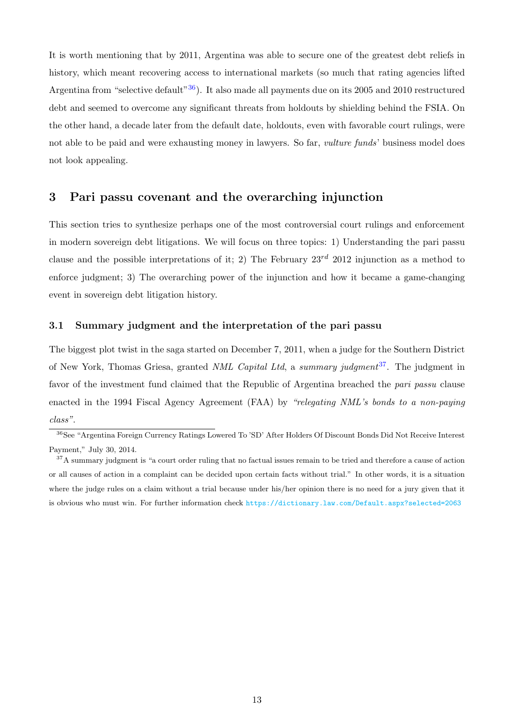It is worth mentioning that by 2011, Argentina was able to secure one of the greatest debt reliefs in history, which meant recovering access to international markets (so much that rating agencies lifted Argentina from "selective default"<sup>[36](#page-15-2)</sup>). It also made all payments due on its 2005 and 2010 restructured debt and seemed to overcome any significant threats from holdouts by shielding behind the FSIA. On the other hand, a decade later from the default date, holdouts, even with favorable court rulings, were not able to be paid and were exhausting money in lawyers. So far, *vulture funds*' business model does not look appealing.

### <span id="page-15-0"></span>3 Pari passu covenant and the overarching injunction

This section tries to synthesize perhaps one of the most controversial court rulings and enforcement in modern sovereign debt litigations. We will focus on three topics: 1) Understanding the pari passu clause and the possible interpretations of it; 2) The February  $23^{rd}$  2012 injunction as a method to enforce judgment; 3) The overarching power of the injunction and how it became a game-changing event in sovereign debt litigation history.

#### <span id="page-15-1"></span>3.1 Summary judgment and the interpretation of the pari passu

The biggest plot twist in the saga started on December 7, 2011, when a judge for the Southern District of New York, Thomas Griesa, granted NML Capital Ltd, a summary judgment<sup>[37](#page-15-3)</sup>. The judgment in favor of the investment fund claimed that the Republic of Argentina breached the pari passu clause enacted in the 1994 Fiscal Agency Agreement (FAA) by "relegating NML's bonds to a non-paying class".

<span id="page-15-2"></span><sup>36</sup>See "Argentina Foreign Currency Ratings Lowered To 'SD' After Holders Of Discount Bonds Did Not Receive Interest Payment," July 30, 2014.

<span id="page-15-3"></span><sup>&</sup>lt;sup>37</sup>A summary judgment is "a court order ruling that no factual issues remain to be tried and therefore a cause of action or all causes of action in a complaint can be decided upon certain facts without trial." In other words, it is a situation where the judge rules on a claim without a trial because under his/her opinion there is no need for a jury given that it is obvious who must win. For further information check <https://dictionary.law.com/Default.aspx?selected=2063>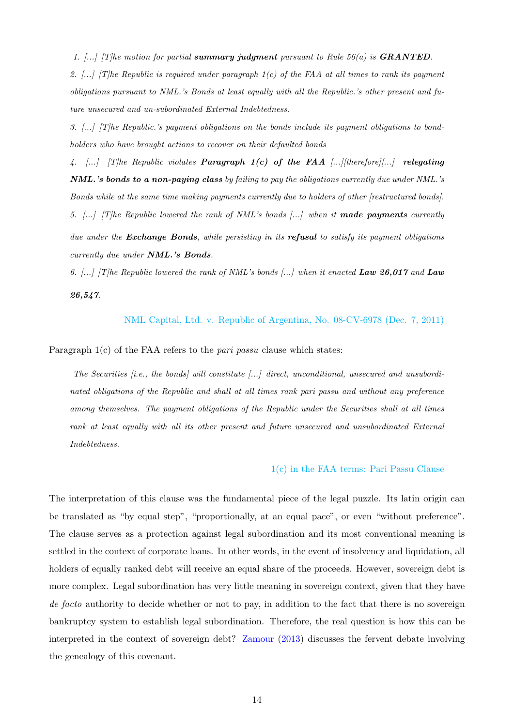1.  $\left[\ldots\right]$  [T]he motion for partial summary judgment pursuant to Rule 56(a) is **GRANTED**. 2.  $\left[\ldots\right]$  [T]he Republic is required under paragraph 1(c) of the FAA at all times to rank its payment obligations pursuant to NML.'s Bonds at least equally with all the Republic.'s other present and future unsecured and un-subordinated External Indebtedness.

3. [...] [T]he Republic.'s payment obligations on the bonds include its payment obligations to bondholders who have brought actions to recover on their defaulted bonds

4.  $\left[\ldots\right]$  [T]he Republic violates **Paragraph 1(c) of the FAA** [...][therefore][...] relegating NML.'s bonds to a non-paying class by failing to pay the obligations currently due under NML.'s Bonds while at the same time making payments currently due to holders of other [restructured bonds]. 5.  $\ldots$  [T]he Republic lowered the rank of NML's bonds  $\ldots$ ] when it made payments currently due under the **Exchange Bonds**, while persisting in its **refusal** to satisfy its payment obligations currently due under NML.'s Bonds.

6.  $[...]$  [T]he Republic lowered the rank of NML's bonds  $[...]$  when it enacted Law 26,017 and Law 26,547.

[NML Capital, Ltd. v. Republic of Argentina, No. 08-CV-6978 \(Dec. 7, 2011\)](https://blogs.reuters.com/felix-salmon/files/2012/04/2011-12-07-Equal-Treatment-Liability-Order.pdf)

Paragraph  $1(c)$  of the FAA refers to the *pari passu* clause which states:

The Securities  $[i.e., the bonds]$  will constitute  $[...]$  direct, unconditional, unsecured and unsubordinated obligations of the Republic and shall at all times rank pari passu and without any preference among themselves. The payment obligations of the Republic under the Securities shall at all times rank at least equally with all its other present and future unsecured and unsubordinated External Indebtedness.

[1\(c\) in the FAA terms: Pari Passu Clause](https://blogs.reuters.com/felix-salmon/files/2012/04/2011-12-07-Equal-Treatment-Liability-Order.pdf)

The interpretation of this clause was the fundamental piece of the legal puzzle. Its latin origin can be translated as "by equal step", "proportionally, at an equal pace", or even "without preference". The clause serves as a protection against legal subordination and its most conventional meaning is settled in the context of corporate loans. In other words, in the event of insolvency and liquidation, all holders of equally ranked debt will receive an equal share of the proceeds. However, sovereign debt is more complex. Legal subordination has very little meaning in sovereign context, given that they have de facto authority to decide whether or not to pay, in addition to the fact that there is no sovereign bankruptcy system to establish legal subordination. Therefore, the real question is how this can be interpreted in the context of sovereign debt? [Zamour](#page-41-3) [\(2013\)](#page-41-3) discusses the fervent debate involving the genealogy of this covenant.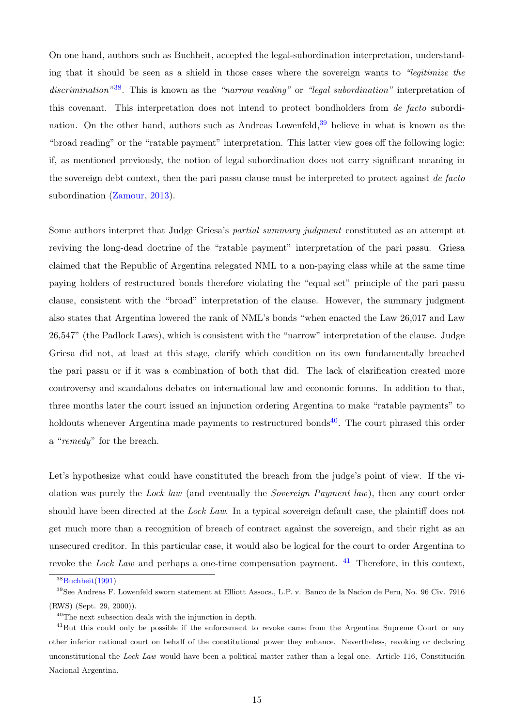On one hand, authors such as Buchheit, accepted the legal-subordination interpretation, understanding that it should be seen as a shield in those cases where the sovereign wants to "legitimize the discrimination<sup>"[38](#page-17-0)</sup>. This is known as the "narrow reading" or "legal subordination" interpretation of this covenant. This interpretation does not intend to protect bondholders from de facto subordination. On the other hand, authors such as Andreas Lowenfeld,  $39$  believe in what is known as the "broad reading" or the "ratable payment" interpretation. This latter view goes off the following logic: if, as mentioned previously, the notion of legal subordination does not carry significant meaning in the sovereign debt context, then the pari passu clause must be interpreted to protect against de facto subordination [\(Zamour,](#page-41-3) [2013\)](#page-41-3).

Some authors interpret that Judge Griesa's partial summary judgment constituted as an attempt at reviving the long-dead doctrine of the "ratable payment" interpretation of the pari passu. Griesa claimed that the Republic of Argentina relegated NML to a non-paying class while at the same time paying holders of restructured bonds therefore violating the "equal set" principle of the pari passu clause, consistent with the "broad" interpretation of the clause. However, the summary judgment also states that Argentina lowered the rank of NML's bonds "when enacted the Law 26,017 and Law 26,547" (the Padlock Laws), which is consistent with the "narrow" interpretation of the clause. Judge Griesa did not, at least at this stage, clarify which condition on its own fundamentally breached the pari passu or if it was a combination of both that did. The lack of clarification created more controversy and scandalous debates on international law and economic forums. In addition to that, three months later the court issued an injunction ordering Argentina to make "ratable payments" to holdouts whenever Argentina made payments to restructured bonds<sup>[40](#page-17-2)</sup>. The court phrased this order a "remedy" for the breach.

Let's hypothesize what could have constituted the breach from the judge's point of view. If the violation was purely the Lock law (and eventually the Sovereign Payment law), then any court order should have been directed at the Lock Law. In a typical sovereign default case, the plaintiff does not get much more than a recognition of breach of contract against the sovereign, and their right as an unsecured creditor. In this particular case, it would also be logical for the court to order Argentina to revoke the *Lock Law* and perhaps a one-time compensation payment.  $41$  Therefore, in this context,

<span id="page-17-1"></span><span id="page-17-0"></span> $38$ [Buchheit\(1991\)](#page-40-7)

<sup>39</sup>See Andreas F. Lowenfeld sworn statement at Elliott Assocs., L.P. v. Banco de la Nacion de Peru, No. 96 Civ. 7916 (RWS) (Sept. 29, 2000)).

<span id="page-17-3"></span><span id="page-17-2"></span><sup>40</sup>The next subsection deals with the injunction in depth.

<sup>&</sup>lt;sup>41</sup>But this could only be possible if the enforcement to revoke came from the Argentina Supreme Court or any other inferior national court on behalf of the constitutional power they enhance. Nevertheless, revoking or declaring unconstitutional the Lock Law would have been a political matter rather than a legal one. Article 116, Constitución Nacional Argentina.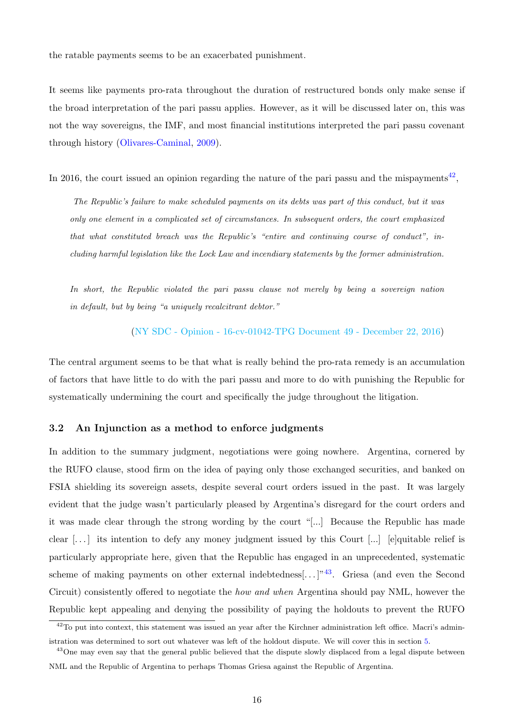the ratable payments seems to be an exacerbated punishment.

It seems like payments pro-rata throughout the duration of restructured bonds only make sense if the broad interpretation of the pari passu applies. However, as it will be discussed later on, this was not the way sovereigns, the IMF, and most financial institutions interpreted the pari passu covenant through history [\(Olivares-Caminal,](#page-41-4) [2009\)](#page-41-4).

In 2016, the court issued an opinion regarding the nature of the pari passu and the mispayments<sup>[42](#page-18-1)</sup>,

The Republic's failure to make scheduled payments on its debts was part of this conduct, but it was only one element in a complicated set of circumstances. In subsequent orders, the court emphasized that what constituted breach was the Republic's "entire and continuing course of conduct", including harmful legislation like the Lock Law and incendiary statements by the former administration.

In short, the Republic violated the pari passu clause not merely by being a sovereign nation in default, but by being "a uniquely recalcitrant debtor."

[\(NY SDC - Opinion - 16-cv-01042-TPG Document 49 - December 22, 2016\)](https://argentine.shearman.com)

The central argument seems to be that what is really behind the pro-rata remedy is an accumulation of factors that have little to do with the pari passu and more to do with punishing the Republic for systematically undermining the court and specifically the judge throughout the litigation.

#### <span id="page-18-0"></span>3.2 An Injunction as a method to enforce judgments

In addition to the summary judgment, negotiations were going nowhere. Argentina, cornered by the RUFO clause, stood firm on the idea of paying only those exchanged securities, and banked on FSIA shielding its sovereign assets, despite several court orders issued in the past. It was largely evident that the judge wasn't particularly pleased by Argentina's disregard for the court orders and it was made clear through the strong wording by the court "[...] Because the Republic has made clear  $[\ldots]$  its intention to defy any money judgment issued by this Court  $[\ldots]$  [e]quitable relief is particularly appropriate here, given that the Republic has engaged in an unprecedented, systematic scheme of making payments on other external indebtedness.......]<sup>"[43](#page-18-2)</sup>. Griesa (and even the Second Circuit) consistently offered to negotiate the how and when Argentina should pay NML, however the Republic kept appealing and denying the possibility of paying the holdouts to prevent the RUFO

<span id="page-18-1"></span><sup>&</sup>lt;sup>42</sup>To put into context, this statement was issued an year after the Kirchner administration left office. Macri's administration was determined to sort out whatever was left of the holdout dispute. We will cover this in section [5.](#page-28-0)

<span id="page-18-2"></span><sup>&</sup>lt;sup>43</sup>One may even say that the general public believed that the dispute slowly displaced from a legal dispute between NML and the Republic of Argentina to perhaps Thomas Griesa against the Republic of Argentina.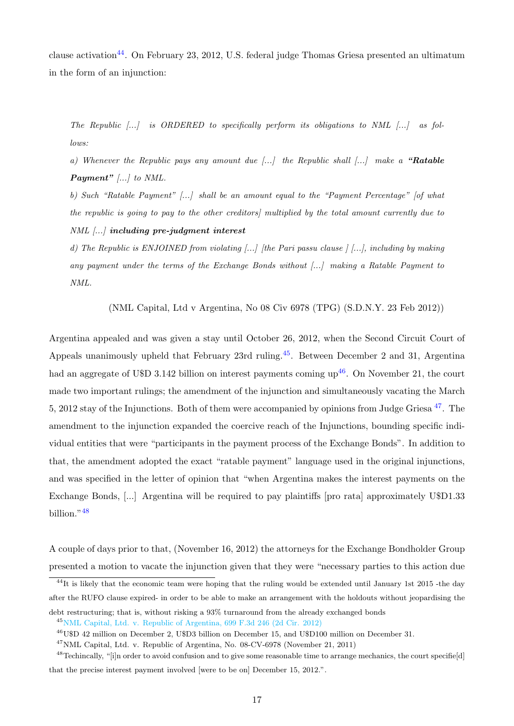clause activation<sup>[44](#page-19-0)</sup>. On February 23, 2012, U.S. federal judge Thomas Griesa presented an ultimatum in the form of an injunction:

The Republic [...] is ORDERED to specifically perform its obligations to NML [...] as follows:

a) Whenever the Republic pays any amount due  $\ldots$  the Republic shall  $\ldots$  make a "Ratable **Payment**"  $\left[\ldots\right]$  to NML.

b) Such "Ratable Payment" [...] shall be an amount equal to the "Payment Percentage" [of what the republic is going to pay to the other creditors] multiplied by the total amount currently due to NML [...] including pre-judgment interest

d) The Republic is ENJOINED from violating [...] [the Pari passu clause ] [...], including by making any payment under the terms of the Exchange Bonds without [...] making a Ratable Payment to NML.

(NML Capital, Ltd v Argentina, No 08 Civ 6978 (TPG) (S.D.N.Y. 23 Feb 2012))

Argentina appealed and was given a stay until October 26, 2012, when the Second Circuit Court of Appeals unanimously upheld that February 23rd ruling.<sup>[45](#page-19-1)</sup>. Between December 2 and 31, Argentina had an aggregate of U\$D 3.142 billion on interest payments coming  $up^{46}$  $up^{46}$  $up^{46}$ . On November 21, the court made two important rulings; the amendment of the injunction and simultaneously vacating the March 5, 2012 stay of the Injunctions. Both of them were accompanied by opinions from Judge Griesa [47](#page-19-3). The amendment to the injunction expanded the coercive reach of the Injunctions, bounding specific individual entities that were "participants in the payment process of the Exchange Bonds". In addition to that, the amendment adopted the exact "ratable payment" language used in the original injunctions, and was specified in the letter of opinion that "when Argentina makes the interest payments on the Exchange Bonds, [...] Argentina will be required to pay plaintiffs [pro rata] approximately U\$D1.33 billion."[48](#page-19-4)

A couple of days prior to that, (November 16, 2012) the attorneys for the Exchange Bondholder Group presented a motion to vacate the injunction given that they were "necessary parties to this action due

<span id="page-19-0"></span> $^{44}$ It is likely that the economic team were hoping that the ruling would be extended until January 1st 2015 -the day after the RUFO clause expired- in order to be able to make an arrangement with the holdouts without jeopardising the

<span id="page-19-1"></span>debt restructuring; that is, without risking a 93% turnaround from the already exchanged bonds <sup>45</sup>[NML Capital, Ltd. v. Republic of Argentina, 699 F.3d 246 \(2d Cir. 2012\)](https://www.govinfo.gov/content/pkg/U.S.COURTS-ca2-12-00176/pdf/U.S.COURTS-ca2-12-00176-0.pdf)

<span id="page-19-3"></span><span id="page-19-2"></span><sup>46</sup>U\$D 42 million on December 2, U\$D3 billion on December 15, and U\$D100 million on December 31.

<span id="page-19-4"></span> $^{47}$ NML Capital, Ltd. v. Republic of Argentina, No. 08-CV-6978 (November 21, 2011)

<sup>&</sup>lt;sup>48</sup>Techincally, "[i]n order to avoid confusion and to give some reasonable time to arrange mechanics, the court specifie<sup>[d]</sup> that the precise interest payment involved [were to be on] December 15, 2012.".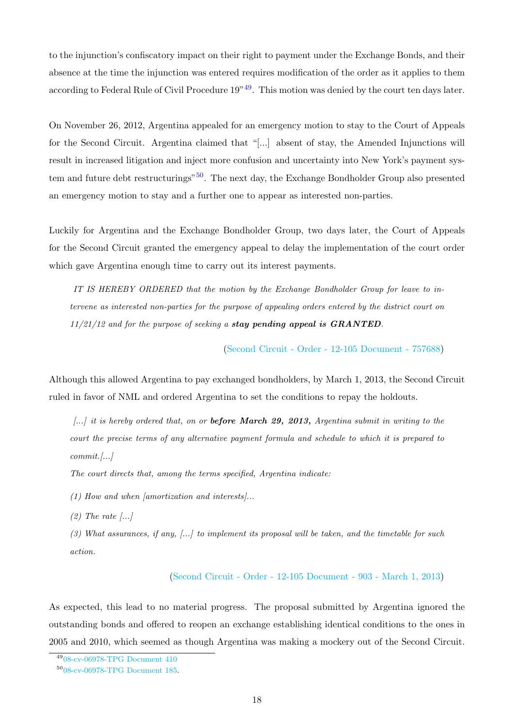to the injunction's confiscatory impact on their right to payment under the Exchange Bonds, and their absence at the time the injunction was entered requires modification of the order as it applies to them according to Federal Rule of Civil Procedure  $19^{349}$  $19^{349}$  $19^{349}$ . This motion was denied by the court ten days later.

On November 26, 2012, Argentina appealed for an emergency motion to stay to the Court of Appeals for the Second Circuit. Argentina claimed that "[...] absent of stay, the Amended Injunctions will result in increased litigation and inject more confusion and uncertainty into New York's payment sys-tem and future debt restructurings"<sup>[50](#page-20-1)</sup>. The next day, the Exchange Bondholder Group also presented an emergency motion to stay and a further one to appear as interested non-parties.

Luckily for Argentina and the Exchange Bondholder Group, two days later, the Court of Appeals for the Second Circuit granted the emergency appeal to delay the implementation of the court order which gave Argentina enough time to carry out its interest payments.

IT IS HEREBY ORDERED that the motion by the Exchange Bondholder Group for leave to intervene as interested non-parties for the purpose of appealing orders entered by the district court on  $11/21/12$  and for the purpose of seeking a stay pending appeal is  $GRANTED$ .

[\(Second Circuit - Order - 12-105 Document - 757688\)](https://ftalphaville-cdn.ft.com/wp-content/uploads/2012/11/2ndcircuit_GRANTED.pdf)

Although this allowed Argentina to pay exchanged bondholders, by March 1, 2013, the Second Circuit ruled in favor of NML and ordered Argentina to set the conditions to repay the holdouts.

 $\ldots$  it is hereby ordered that, on or **before March 29, 2013**, Argentina submit in writing to the court the precise terms of any alternative payment formula and schedule to which it is prepared to  $commit.$ ...]

The court directs that, among the terms specified, Argentina indicate:

(1) How and when [amortization and interests]...

 $(2)$  The rate  $\left| \ldots \right|$ 

(3) What assurances, if any, [...] to implement its proposal will be taken, and the timetable for such action.

[\(Second Circuit - Order - 12-105 Document - 903 - March 1, 2013\)](https://ftalphaville-cdn.ft.com/wp-content/uploads/2013/03/NML_Argentina.pdf)

As expected, this lead to no material progress. The proposal submitted by Argentina ignored the outstanding bonds and offered to reopen an exchange establishing identical conditions to the ones in 2005 and 2010, which seemed as though Argentina was making a mockery out of the Second Circuit.

<span id="page-20-1"></span><span id="page-20-0"></span><sup>49</sup>[08-cv-06978-TPG Document 410](https://ftalphaville-cdn.ft.com/wp-content/uploads/2012/11/2-OShea-Declaration.pdf)

<sup>50</sup>[08-cv-06978-TPG Document 185.](.)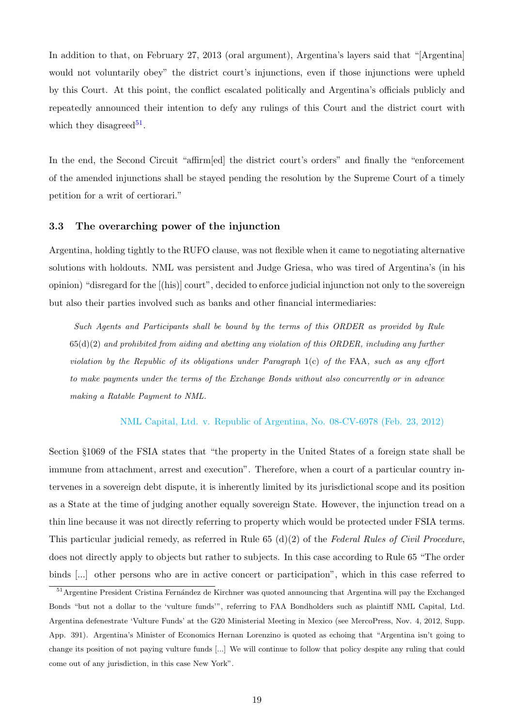In addition to that, on February 27, 2013 (oral argument), Argentina's layers said that "[Argentina] would not voluntarily obey" the district court's injunctions, even if those injunctions were upheld by this Court. At this point, the conflict escalated politically and Argentina's officials publicly and repeatedly announced their intention to defy any rulings of this Court and the district court with which they disagreed<sup>[51](#page-21-1)</sup>.

In the end, the Second Circuit "affirm [ed] the district court's orders" and finally the "enforcement" of the amended injunctions shall be stayed pending the resolution by the Supreme Court of a timely petition for a writ of certiorari."

#### <span id="page-21-0"></span>3.3 The overarching power of the injunction

Argentina, holding tightly to the RUFO clause, was not flexible when it came to negotiating alternative solutions with holdouts. NML was persistent and Judge Griesa, who was tired of Argentina's (in his opinion) "disregard for the [(his)] court", decided to enforce judicial injunction not only to the sovereign but also their parties involved such as banks and other financial intermediaries:

Such Agents and Participants shall be bound by the terms of this ORDER as provided by Rule  $65(d)(2)$  and prohibited from aiding and abetting any violation of this ORDER, including any further violation by the Republic of its obligations under Paragraph 1(c) of the FAA, such as any effort to make payments under the terms of the Exchange Bonds without also concurrently or in advance making a Ratable Payment to NML.

#### [NML Capital, Ltd. v. Republic of Argentina, No. 08-CV-6978 \(Feb. 23, 2012\)](https://www.shearman.com/~/media/Files/Services/Argentine-Sovereign-Debt/2015/Arg234-060515-Opinion-and-Order.pdf)

Section §1069 of the FSIA states that "the property in the United States of a foreign state shall be immune from attachment, arrest and execution". Therefore, when a court of a particular country intervenes in a sovereign debt dispute, it is inherently limited by its jurisdictional scope and its position as a State at the time of judging another equally sovereign State. However, the injunction tread on a thin line because it was not directly referring to property which would be protected under FSIA terms. This particular judicial remedy, as referred in Rule 65  $(d)(2)$  of the Federal Rules of Civil Procedure, does not directly apply to objects but rather to subjects. In this case according to Rule 65 "The order binds [...] other persons who are in active concert or participation", which in this case referred to

<span id="page-21-1"></span> $51$ Argentine President Cristina Fernández de Kirchner was quoted announcing that Argentina will pay the Exchanged Bonds "but not a dollar to the 'vulture funds'", referring to FAA Bondholders such as plaintiff NML Capital, Ltd. Argentina defenestrate 'Vulture Funds' at the G20 Ministerial Meeting in Mexico (see MercoPress, Nov. 4, 2012, Supp. App. 391). Argentina's Minister of Economics Hernan Lorenzino is quoted as echoing that "Argentina isn't going to change its position of not paying vulture funds [...] We will continue to follow that policy despite any ruling that could come out of any jurisdiction, in this case New York".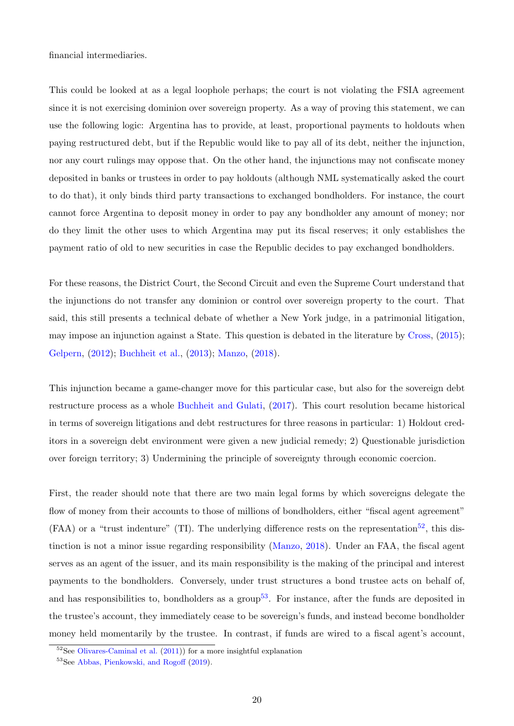financial intermediaries.

This could be looked at as a legal loophole perhaps; the court is not violating the FSIA agreement since it is not exercising dominion over sovereign property. As a way of proving this statement, we can use the following logic: Argentina has to provide, at least, proportional payments to holdouts when paying restructured debt, but if the Republic would like to pay all of its debt, neither the injunction, nor any court rulings may oppose that. On the other hand, the injunctions may not confiscate money deposited in banks or trustees in order to pay holdouts (although NML systematically asked the court to do that), it only binds third party transactions to exchanged bondholders. For instance, the court cannot force Argentina to deposit money in order to pay any bondholder any amount of money; nor do they limit the other uses to which Argentina may put its fiscal reserves; it only establishes the payment ratio of old to new securities in case the Republic decides to pay exchanged bondholders.

For these reasons, the District Court, the Second Circuit and even the Supreme Court understand that the injunctions do not transfer any dominion or control over sovereign property to the court. That said, this still presents a technical debate of whether a New York judge, in a patrimonial litigation, may impose an injunction against a State. This question is debated in the literature by [Cross,](#page-40-4) [\(2015\)](#page-40-4); [Gelpern,](#page-40-6) [\(2012\)](#page-40-6); [Buchheit et al.,](#page-40-8) [\(2013\)](#page-40-8); [Manzo,](#page-40-9) [\(2018\)](#page-40-9).

This injunction became a game-changer move for this particular case, but also for the sovereign debt restructure process as a whole [Buchheit and Gulati,](#page-40-10) [\(2017\)](#page-40-10). This court resolution became historical in terms of sovereign litigations and debt restructures for three reasons in particular: 1) Holdout creditors in a sovereign debt environment were given a new judicial remedy; 2) Questionable jurisdiction over foreign territory; 3) Undermining the principle of sovereignty through economic coercion.

First, the reader should note that there are two main legal forms by which sovereigns delegate the flow of money from their accounts to those of millions of bondholders, either "fiscal agent agreement"  $(FAA)$  or a "trust indenture" (TI). The underlying difference rests on the representation<sup>[52](#page-22-0)</sup>, this distinction is not a minor issue regarding responsibility [\(Manzo,](#page-40-9) [2018\)](#page-40-9). Under an FAA, the fiscal agent serves as an agent of the issuer, and its main responsibility is the making of the principal and interest payments to the bondholders. Conversely, under trust structures a bond trustee acts on behalf of, and has responsibilities to, bondholders as a group<sup>[53](#page-22-1)</sup>. For instance, after the funds are deposited in the trustee's account, they immediately cease to be sovereign's funds, and instead become bondholder money held momentarily by the trustee. In contrast, if funds are wired to a fiscal agent's account,

<span id="page-22-1"></span><span id="page-22-0"></span> $52$ See [Olivares-Caminal et al.](#page-41-5) [\(2011\)](#page-41-5)) for a more insightful explanation

<sup>53</sup>See [Abbas, Pienkowski, and Rogoff](#page-40-11) [\(2019\)](#page-40-11).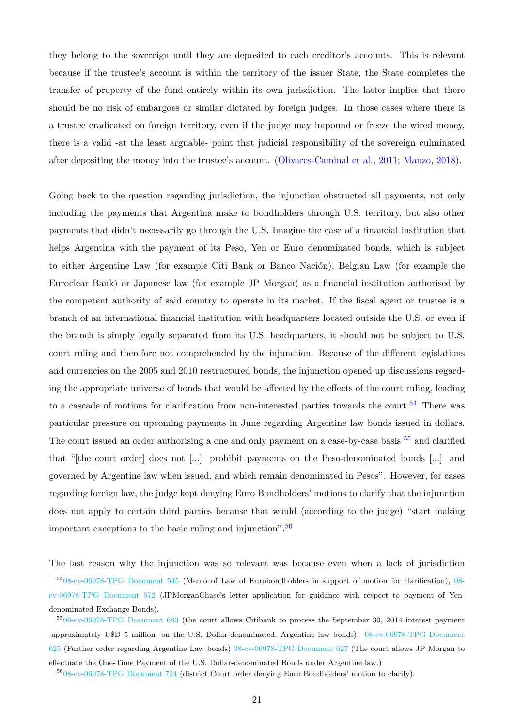they belong to the sovereign until they are deposited to each creditor's accounts. This is relevant because if the trustee's account is within the territory of the issuer State, the State completes the transfer of property of the fund entirely within its own jurisdiction. The latter implies that there should be no risk of embargoes or similar dictated by foreign judges. In those cases where there is a trustee eradicated on foreign territory, even if the judge may impound or freeze the wired money, there is a valid -at the least arguable- point that judicial responsibility of the sovereign culminated after depositing the money into the trustee's account. [\(Olivares-Caminal et al.,](#page-41-5) [2011;](#page-41-5) [Manzo,](#page-40-9) [2018\)](#page-40-9).

Going back to the question regarding jurisdiction, the injunction obstructed all payments, not only including the payments that Argentina make to bondholders through U.S. territory, but also other payments that didn't necessarily go through the U.S. Imagine the case of a financial institution that helps Argentina with the payment of its Peso, Yen or Euro denominated bonds, which is subject to either Argentine Law (for example Citi Bank or Banco Nación), Belgian Law (for example the Euroclear Bank) or Japanese law (for example JP Morgan) as a financial institution authorised by the competent authority of said country to operate in its market. If the fiscal agent or trustee is a branch of an international financial institution with headquarters located outside the U.S. or even if the branch is simply legally separated from its U.S. headquarters, it should not be subject to U.S. court ruling and therefore not comprehended by the injunction. Because of the different legislations and currencies on the 2005 and 2010 restructured bonds, the injunction opened up discussions regarding the appropriate universe of bonds that would be affected by the effects of the court ruling, leading to a cascade of motions for clarification from non-interested parties towards the court.<sup>[54](#page-23-0)</sup> There was particular pressure on upcoming payments in June regarding Argentine law bonds issued in dollars. The court issued an order authorising a one and only payment on a case-by-case basis <sup>[55](#page-23-1)</sup> and clarified that "[the court order] does not [...] prohibit payments on the Peso-denominated bonds [...] and governed by Argentine law when issued, and which remain denominated in Pesos". However, for cases regarding foreign law, the judge kept denying Euro Bondholders' motions to clarify that the injunction does not apply to certain third parties because that would (according to the judge) "start making important exceptions to the basic ruling and injunction".[56](#page-23-2)

The last reason why the injunction was so relevant was because even when a lack of jurisdiction

<span id="page-23-0"></span><sup>54</sup>[08-cv-06978-TPG Document 545](https://www.shearman.com/~/media/Files/Services/Argentine-Sovereign-Debt/2014/Arg91-2014-06-29-Memo-of-law-in-support-of-motion.pdf) (Memo of Law of Eurobondholders in support of motion for clarification), [08](https://www.shearman.com/~/media/Files/Services/Argentine-Sovereign-Debt/2014/Arg109-070914-Andrea-Likwornik-Weiss-Letter.pdf) [cv-06978-TPG Document 572](https://www.shearman.com/~/media/Files/Services/Argentine-Sovereign-Debt/2014/Arg109-070914-Andrea-Likwornik-Weiss-Letter.pdf) (JPMorganChase's letter application for guidance with respect to payment of Yendenominated Exchange Bonds).

<span id="page-23-1"></span><sup>55</sup>[08-cv-06978-TPG Document 683](https://www.shearman.com/~/media/Files/Services/Argentine-Sovereign-Debt/2014/Arg178-092914-08cv6978-Doc-683.pdf) (the court allows Citibank to process the September 30, 2014 interest payment -approximately U\$D 5 million- on the U.S. Dollar-denominated, Argentine law bonds). [08-cv-06978-TPG Document](https://www.shearman.com/~/media/Files/Services/Argentine-Sovereign-Debt/2014/Arg137-080114-Order.pdf) [625](https://www.shearman.com/~/media/Files/Services/Argentine-Sovereign-Debt/2014/Arg137-080114-Order.pdf) (Further order regarding Argentine Law bonds) [08-cv-06978-TPG Document 627](https://www.shearman.com/~/media/Files/Services/Argentine-Sovereign-Debt/2014/Arg139-080414-Further-Order-086978-Doc-627.pdf) (The court allows JP Morgan to effectuate the One-Time Payment of the U.S. Dollar-denominated Bonds under Argentine law.)

<span id="page-23-2"></span><sup>56</sup>[08-cv-06978-TPG Document 724](https://www.shearman.com/~/media/Files/Services/Argentine-Sovereign-Debt/2014/Arg196-112514-08cv6978--Doc-724.pdf) (district Court order denying Euro Bondholders' motion to clarify).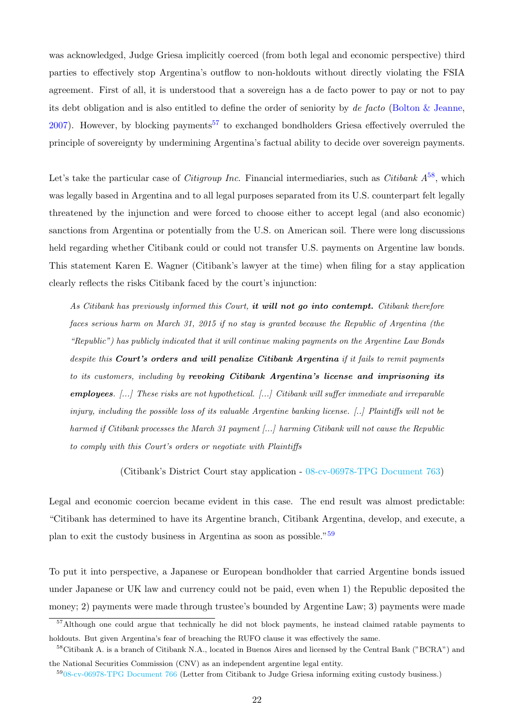was acknowledged, Judge Griesa implicitly coerced (from both legal and economic perspective) third parties to effectively stop Argentina's outflow to non-holdouts without directly violating the FSIA agreement. First of all, it is understood that a sovereign has a de facto power to pay or not to pay its debt obligation and is also entitled to define the order of seniority by de facto [\(Bolton & Jeanne,](#page-40-12)  $2007$ ). However, by blocking payments<sup>[57](#page-24-0)</sup> to exchanged bondholders Griesa effectively overruled the principle of sovereignty by undermining Argentina's factual ability to decide over sovereign payments.

Let's take the particular case of *Citigroup Inc.* Financial intermediaries, such as *Citibank*  $A^{58}$  $A^{58}$  $A^{58}$ , which was legally based in Argentina and to all legal purposes separated from its U.S. counterpart felt legally threatened by the injunction and were forced to choose either to accept legal (and also economic) sanctions from Argentina or potentially from the U.S. on American soil. There were long discussions held regarding whether Citibank could or could not transfer U.S. payments on Argentine law bonds. This statement Karen E. Wagner (Citibank's lawyer at the time) when filing for a stay application clearly reflects the risks Citibank faced by the court's injunction:

As Citibank has previously informed this Court, it will not go into contempt. Citibank therefore faces serious harm on March 31, 2015 if no stay is granted because the Republic of Argentina (the "Republic") has publicly indicated that it will continue making payments on the Argentine Law Bonds despite this Court's orders and will penalize Citibank Argentina if it fails to remit payments to its customers, including by revoking Citibank Argentina's license and imprisoning its employees. [...] These risks are not hypothetical. [...] Citibank will suffer immediate and irreparable injury, including the possible loss of its valuable Argentine banking license. [..] Plaintiffs will not be harmed if Citibank processes the March 31 payment [...] harming Citibank will not cause the Republic to comply with this Court's orders or negotiate with Plaintiffs

(Citibank's District Court stay application - [08-cv-06978-TPG Document 763\)](https://www.shearman.com/~/media/Files/Services/Argentine-Sovereign-Debt/2015/Arg217-031215-08cv6978--Doc-763.pdf)

Legal and economic coercion became evident in this case. The end result was almost predictable: "Citibank has determined to have its Argentine branch, Citibank Argentina, develop, and execute, a plan to exit the custody business in Argentina as soon as possible."[59](#page-24-2)

To put it into perspective, a Japanese or European bondholder that carried Argentine bonds issued under Japanese or UK law and currency could not be paid, even when 1) the Republic deposited the money; 2) payments were made through trustee's bounded by Argentine Law; 3) payments were made

<span id="page-24-0"></span><sup>57</sup>Although one could argue that technically he did not block payments, he instead claimed ratable payments to holdouts. But given Argentina's fear of breaching the RUFO clause it was effectively the same.

<span id="page-24-1"></span> $58$ Citibank A. is a branch of Citibank N.A., located in Buenos Aires and licensed by the Central Bank ("BCRA") and the National Securities Commission (CNV) as an independent argentine legal entity.

<span id="page-24-2"></span><sup>59</sup>[08-cv-06978-TPG Document 766](https://www.shearman.com/~/media/Files/Services/Argentine-Sovereign-Debt/2015/Arg220-031715-08cv6978-Doc-766.pdf) (Letter from Citibank to Judge Griesa informing exiting custody business.)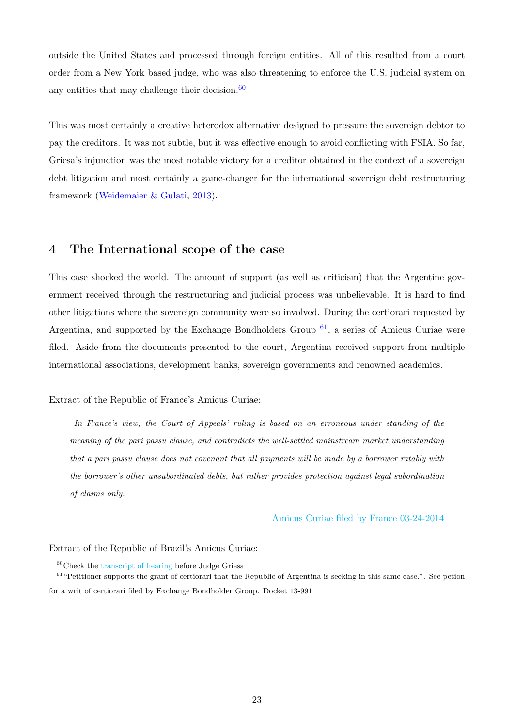outside the United States and processed through foreign entities. All of this resulted from a court order from a New York based judge, who was also threatening to enforce the U.S. judicial system on any entities that may challenge their decision. $60$ 

This was most certainly a creative heterodox alternative designed to pressure the sovereign debtor to pay the creditors. It was not subtle, but it was effective enough to avoid conflicting with FSIA. So far, Griesa's injunction was the most notable victory for a creditor obtained in the context of a sovereign debt litigation and most certainly a game-changer for the international sovereign debt restructuring framework [\(Weidemaier & Gulati,](#page-41-6) [2013\)](#page-41-6).

### <span id="page-25-0"></span>4 The International scope of the case

This case shocked the world. The amount of support (as well as criticism) that the Argentine government received through the restructuring and judicial process was unbelievable. It is hard to find other litigations where the sovereign community were so involved. During the certiorari requested by Argentina, and supported by the Exchange Bondholders Group  $61$ , a series of Amicus Curiae were filed. Aside from the documents presented to the court, Argentina received support from multiple international associations, development banks, sovereign governments and renowned academics.

Extract of the Republic of France's Amicus Curiae:

In France's view, the Court of Appeals' ruling is based on an erroneous under standing of the meaning of the pari passu clause, and contradicts the well-settled mainstream market understanding that a pari passu clause does not covenant that all payments will be made by a borrower ratably with the borrower's other unsubordinated debts, but rather provides protection against legal subordination of claims only.

#### [Amicus Curiae filed by France 03-24-2014](http://www.shearman.com/~/media/Files/Services/Argentine-Sovereign-Debt/2014/Arg48-Brief-for-Republic-of-France-as-Amicus-Curiae-in-Support-032514pdf.pdf)

#### Extract of the Republic of Brazil's Amicus Curiae:

<span id="page-25-2"></span><span id="page-25-1"></span> $60$ Check the [transcript of hearing](https://www.shearman.com/~/media/Files/Services/Argentine-Sovereign-Debt/2014/Arg92-NML-Hng-06-27-14--E6RZNMLM-pdf.pdf) before Judge Griesa

 $61$  "Petitioner supports the grant of certiorari that the Republic of Argentina is seeking in this same case.". See petion for a writ of certiorari filed by Exchange Bondholder Group. Docket 13-991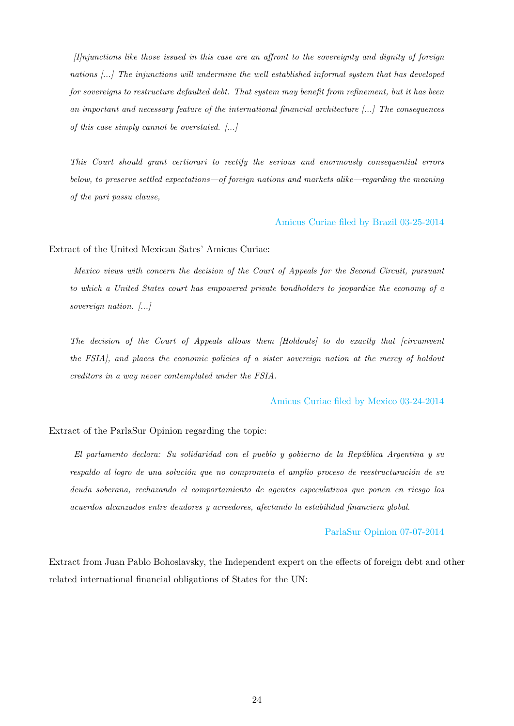$[1]$ njunctions like those issued in this case are an affront to the sovereignty and dignity of foreign nations [...] The injunctions will undermine the well established informal system that has developed for sovereigns to restructure defaulted debt. That system may benefit from refinement, but it has been an important and necessary feature of the international financial architecture [...] The consequences of this case simply cannot be overstated.  $[\dots]$ 

This Court should grant certiorari to rectify the serious and enormously consequential errors below, to preserve settled expectations—of foreign nations and markets alike—regarding the meaning of the pari passu clause,

[Amicus Curiae filed by Brazil 03-25-2014](http://www.shearman.com/~/media/Files/Services/Argentine-Sovereign-Debt/2014/Arg49-13_990ac-Fed-Rep-O-fBrazil-032514.pdf)

Extract of the United Mexican Sates' Amicus Curiae:

Mexico views with concern the decision of the Court of Appeals for the Second Circuit, pursuant to which a United States court has empowered private bondholders to jeopardize the economy of a sovereign nation. [...]

The decision of the Court of Appeals allows them [Holdouts] to do exactly that [circumvent the FSIA], and places the economic policies of a sister sovereign nation at the mercy of holdout creditors in a way never contemplated under the FSIA.

#### [Amicus Curiae filed by Mexico 03-24-2014](http://www.shearman.com/~/media/Files/Services/Argentine-Sovereign-Debt/2014/Arg47-Brief-of-the-United-Mexican-States-032513.PDF)

#### Extract of the ParlaSur Opinion regarding the topic:

El parlamento declara: Su solidaridad con el pueblo y gobierno de la Rep´ublica Argentina y su respaldo al logro de una solución que no comprometa el amplio proceso de reestructuración de su deuda soberana, rechazando el comportamiento de agentes especulativos que ponen en riesgo los acuerdos alcanzados entre deudores y acreedores, afectando la estabilidad financiera global.

#### [ParlaSur Opinion 07-07-2014](https://www.parlamentomercosur.org/innovaportal/v/8790/1/parlasur/parlamento-del-mercosur-declara-su-total-apoyo-a-la-argentina-en-su-lucha-contra-los-fondos-buitres.html)

Extract from Juan Pablo Bohoslavsky, the Independent expert on the effects of foreign debt and other related international financial obligations of States for the UN: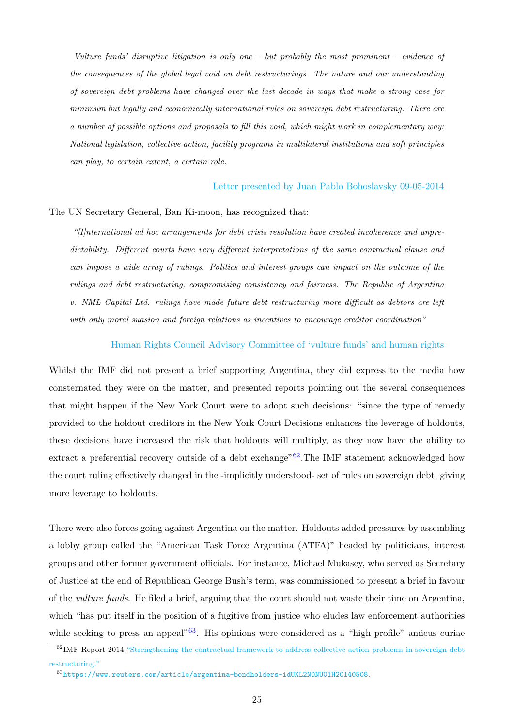Vulture funds' disruptive litigation is only one – but probably the most prominent – evidence of the consequences of the global legal void on debt restructurings. The nature and our understanding of sovereign debt problems have changed over the last decade in ways that make a strong case for minimum but legally and economically international rules on sovereign debt restructuring. There are a number of possible options and proposals to fill this void, which might work in complementary way: National legislation, collective action, facility programs in multilateral institutions and soft principles can play, to certain extent, a certain role.

#### [Letter presented by Juan Pablo Bohoslavsky 09-05-2014](https://www.ohchr.org/Documents/Issues/IEDebt/letter_Chairman_of_the_Group_G77.pdf)

#### The UN Secretary General, Ban Ki-moon, has recognized that:

"[I]nternational ad hoc arrangements for debt crisis resolution have created incoherence and unpredictability. Different courts have very different interpretations of the same contractual clause and can impose a wide array of rulings. Politics and interest groups can impact on the outcome of the rulings and debt restructuring, compromising consistency and fairness. The Republic of Argentina v. NML Capital Ltd. rulings have made future debt restructuring more difficult as debtors are left with only moral suasion and foreign relations as incentives to encourage creditor coordination"

#### [Human Rights Council Advisory Committee of 'vulture funds' and human rights](https://www.ohchr.org/_layouts/15/WopiFrame.aspx?sourcedoc=/Documents/HRBodies/HRCouncil/AdvisoryCom/Session15/A_HRC_AC_15_CRP_1.doc&action=default&DefaultItemOpen=1)

Whilst the IMF did not present a brief supporting Argentina, they did express to the media how consternated they were on the matter, and presented reports pointing out the several consequences that might happen if the New York Court were to adopt such decisions: "since the type of remedy provided to the holdout creditors in the New York Court Decisions enhances the leverage of holdouts, these decisions have increased the risk that holdouts will multiply, as they now have the ability to extract a preferential recovery outside of a debt exchange"<sup>[62](#page-27-0)</sup>. The IMF statement acknowledged how the court ruling effectively changed in the -implicitly understood- set of rules on sovereign debt, giving more leverage to holdouts.

There were also forces going against Argentina on the matter. Holdouts added pressures by assembling a lobby group called the "American Task Force Argentina (ATFA)" headed by politicians, interest groups and other former government officials. For instance, Michael Mukasey, who served as Secretary of Justice at the end of Republican George Bush's term, was commissioned to present a brief in favour of the vulture funds. He filed a brief, arguing that the court should not waste their time on Argentina, which "has put itself in the position of a fugitive from justice who eludes law enforcement authorities while seeking to press an appeal<sup> $0.63$  $0.63$ </sup>. His opinions were considered as a "high profile" amicus curiae

<span id="page-27-0"></span><sup>62</sup>IMF Report 2014[,"Strengthening the contractual framework to address collective action problems in sovereign debt](https://www.imf.org/external/np/pp/eng/2014/090214.pdf) [restructuring."](https://www.imf.org/external/np/pp/eng/2014/090214.pdf)

<span id="page-27-1"></span><sup>63</sup><https://www.reuters.com/article/argentina-bondholders-idUKL2N0NU01H20140508>.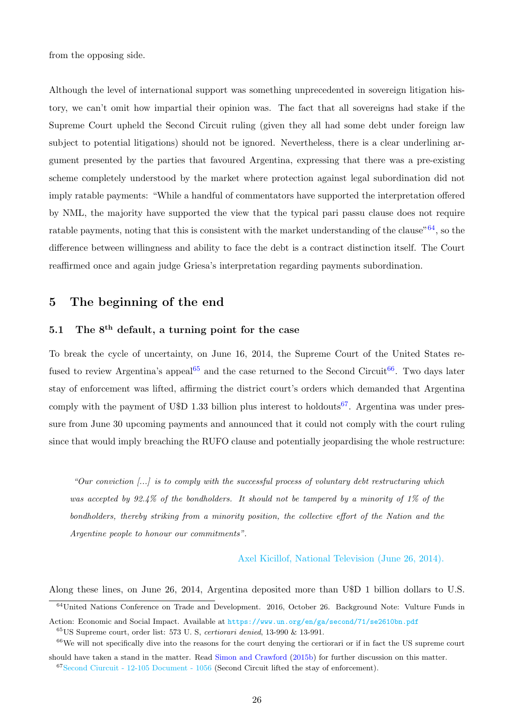from the opposing side.

Although the level of international support was something unprecedented in sovereign litigation history, we can't omit how impartial their opinion was. The fact that all sovereigns had stake if the Supreme Court upheld the Second Circuit ruling (given they all had some debt under foreign law subject to potential litigations) should not be ignored. Nevertheless, there is a clear underlining argument presented by the parties that favoured Argentina, expressing that there was a pre-existing scheme completely understood by the market where protection against legal subordination did not imply ratable payments: "While a handful of commentators have supported the interpretation offered by NML, the majority have supported the view that the typical pari passu clause does not require ratable payments, noting that this is consistent with the market understanding of the clause" $64$ , so the difference between willingness and ability to face the debt is a contract distinction itself. The Court reaffirmed once and again judge Griesa's interpretation regarding payments subordination.

### <span id="page-28-0"></span>5 The beginning of the end

### <span id="page-28-1"></span>5.1 The  $8<sup>th</sup>$  default, a turning point for the case

To break the cycle of uncertainty, on June 16, 2014, the Supreme Court of the United States re-fused to review Argentina's appeal<sup>[65](#page-28-3)</sup> and the case returned to the Second Circuit<sup>[66](#page-28-4)</sup>. Two days later stay of enforcement was lifted, affirming the district court's orders which demanded that Argentina comply with the payment of U\$D 1.33 billion plus interest to holdouts<sup>[67](#page-28-5)</sup>. Argentina was under pressure from June 30 upcoming payments and announced that it could not comply with the court ruling since that would imply breaching the RUFO clause and potentially jeopardising the whole restructure:

"Our conviction  $\ldots$  is to comply with the successful process of voluntary debt restructuring which was accepted by 92.4% of the bondholders. It should not be tampered by a minority of 1% of the bondholders, thereby striking from a minority position, the collective effort of the Nation and the Argentine people to honour our commitments".

[Axel Kicillof, National Television \(June 26, 2014\).](https://www.youtube.com/watch?v=paBVUBLf628)

Along these lines, on June 26, 2014, Argentina deposited more than U\$D 1 billion dollars to U.S.

<span id="page-28-5"></span><sup>67</sup>[Second Ciurcuit - 12-105 Document - 1056](https://www.shearman.com/~/media/Files/Services/Argentine-Sovereign-Debt/2014/Arg78-1056-061814.pdf) (Second Circuit lifted the stay of enforcement).

<span id="page-28-2"></span><sup>&</sup>lt;sup>64</sup>United Nations Conference on Trade and Development. 2016, October 26. Background Note: Vulture Funds in

Action: Economic and Social Impact. Available at <https://www.un.org/en/ga/second/71/se2610bn.pdf>

<span id="page-28-4"></span><span id="page-28-3"></span> $65$ US Supreme court, order list: 573 U. S, *certiorari denied*, 13-990 & 13-991.

 $66$ We will not specifically dive into the reasons for the court denying the certiorari or if in fact the US supreme court should have taken a stand in the matter. Read [Simon and Crawford](#page-41-7) [\(2015b\)](#page-41-7) for further discussion on this matter.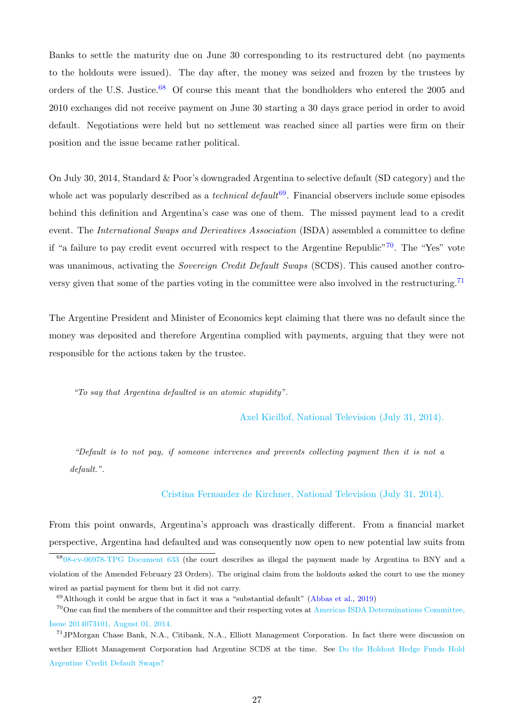Banks to settle the maturity due on June 30 corresponding to its restructured debt (no payments to the holdouts were issued). The day after, the money was seized and frozen by the trustees by orders of the U.S. Justice.<sup>[68](#page-29-0)</sup> Of course this meant that the bondholders who entered the 2005 and 2010 exchanges did not receive payment on June 30 starting a 30 days grace period in order to avoid default. Negotiations were held but no settlement was reached since all parties were firm on their position and the issue became rather political.

On July 30, 2014, Standard & Poor's downgraded Argentina to selective default (SD category) and the whole act was popularly described as a *technical default*  $69$ . Financial observers include some episodes behind this definition and Argentina's case was one of them. The missed payment lead to a credit event. The International Swaps and Derivatives Association (ISDA) assembled a committee to define if "a failure to pay credit event occurred with respect to the Argentine Republic"<sup>[70](#page-29-2)</sup>. The "Yes" vote was unanimous, activating the *Sovereign Credit Default Swaps* (SCDS). This caused another contro-versy given that some of the parties voting in the committee were also involved in the restructuring.<sup>[71](#page-29-3)</sup>

The Argentine President and Minister of Economics kept claiming that there was no default since the money was deposited and therefore Argentina complied with payments, arguing that they were not responsible for the actions taken by the trustee.

"To say that Argentina defaulted is an atomic stupidity".

[Axel Kicillof, National Television \(July 31, 2014\).](https://www.youtube.com/watch?v=HGC7iVlAUdA)

"Default is to not pay, if someone intervenes and prevents collecting payment then it is not a default.".

#### [Cristina Fernandez de Kirchner, National Television \(July 31, 2014\).](https://www.youtube.com/watch?v=amQ0AXe9utA)

From this point onwards, Argentina's approach was drastically different. From a financial market perspective, Argentina had defaulted and was consequently now open to new potential law suits from

<span id="page-29-0"></span><sup>68</sup>[08-cv-06978-TPG Document 633](https://www.shearman.com/~/media/Files/Services/Argentine-Sovereign-Debt/2014/Arg141-080714-086978-Doc-633.pdf) (the court describes as illegal the payment made by Argentina to BNY and a violation of the Amended February 23 Orders). The original claim from the holdouts asked the court to use the money wired as partial payment for them but it did not carry.

<span id="page-29-2"></span><span id="page-29-1"></span> $69$ Although it could be argue that in fact it was a "substantial default" [\(Abbas et al.,](#page-40-11) [2019\)](#page-40-11)

 $70$ One can find the members of the committee and their respecting votes at [Americas ISDA Determinations Committee,](https://www.cdsdeterminationscommittees.org/documents/2014/08/americas-dc-decision-08012014-argentine-republic.pdf/) [Issue 2014073101, August 01, 2014.](https://www.cdsdeterminationscommittees.org/documents/2014/08/americas-dc-decision-08012014-argentine-republic.pdf/)

<span id="page-29-3"></span><sup>71</sup>JPMorgan Chase Bank, N.A., Citibank, N.A., Elliott Management Corporation. In fact there were discussion on wether Elliott Management Corporation had Argentine SCDS at the time. See [Do the Holdout Hedge Funds Hold](https://cepr.net/do-the-holdout-hedge-funds-hold-argentine-credit-default-swaps/) [Argentine Credit Default Swaps?](https://cepr.net/do-the-holdout-hedge-funds-hold-argentine-credit-default-swaps/)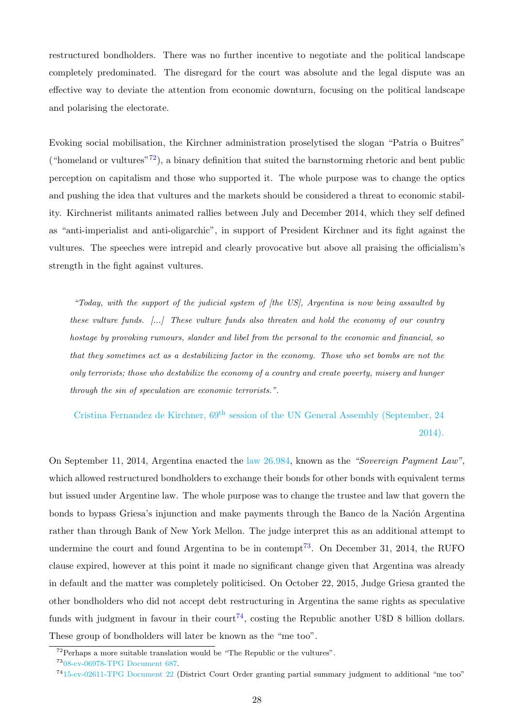restructured bondholders. There was no further incentive to negotiate and the political landscape completely predominated. The disregard for the court was absolute and the legal dispute was an effective way to deviate the attention from economic downturn, focusing on the political landscape and polarising the electorate.

Evoking social mobilisation, the Kirchner administration proselytised the slogan "Patria o Buitres" ("homeland or vultures"<sup>[72](#page-30-0)</sup>), a binary definition that suited the barnstorming rhetoric and bent public perception on capitalism and those who supported it. The whole purpose was to change the optics and pushing the idea that vultures and the markets should be considered a threat to economic stability. Kirchnerist militants animated rallies between July and December 2014, which they self defined as "anti-imperialist and anti-oligarchic", in support of President Kirchner and its fight against the vultures. The speeches were intrepid and clearly provocative but above all praising the officialism's strength in the fight against vultures.

"Today, with the support of the judicial system of [the US], Argentina is now being assaulted by these vulture funds.  $[\ldots]$  These vulture funds also threaten and hold the economy of our country hostage by provoking rumours, slander and libel from the personal to the economic and financial, so that they sometimes act as a destabilizing factor in the economy. Those who set bombs are not the only terrorists; those who destabilize the economy of a country and create poverty, misery and hunger through the sin of speculation are economic terrorists.".

Cristina Fernandez de Kirchner, 69th [session of the UN General Assembly \(September, 24](https://www.cfkargentina.com/address-by-cristina-kirchner-at-un-general-assembly-2014/ ) [2014\).](https://www.cfkargentina.com/address-by-cristina-kirchner-at-un-general-assembly-2014/ )

On September 11, 2014, Argentina enacted the [law 26.984,](http://servicios.infoleg.gob.ar/infolegInternet/anexos/230000-234999/234982/norma.htm) known as the "Sovereign Payment Law", which allowed restructured bondholders to exchange their bonds for other bonds with equivalent terms but issued under Argentine law. The whole purpose was to change the trustee and law that govern the bonds to bypass Griesa's injunction and make payments through the Banco de la Nación Argentina rather than through Bank of New York Mellon. The judge interpret this as an additional attempt to undermine the court and found Argentina to be in contempt<sup>[73](#page-30-1)</sup>. On December 31, 2014, the RUFO clause expired, however at this point it made no significant change given that Argentina was already in default and the matter was completely politicised. On October 22, 2015, Judge Griesa granted the other bondholders who did not accept debt restructuring in Argentina the same rights as speculative funds with judgment in favour in their court<sup>[74](#page-30-2)</sup>, costing the Republic another U\$D 8 billion dollars. These group of bondholders will later be known as the "me too".

<span id="page-30-1"></span><span id="page-30-0"></span> $72$ Perhaps a more suitable translation would be "The Republic or the vultures".

<span id="page-30-2"></span><sup>73</sup>[08-cv-06978-TPG Document 687.](https://www.shearman.com/~/media/Files/Services/Argentine-Sovereign-Debt/2014/Arg182-093014-086978-Doc-687.pdf)

<sup>74</sup>[15-cv-02611-TPG Document 22](https://www.shearman.com/~/media/Files/Services/Argentine-Sovereign-Debt/2015/Arg264-102215-opinion.pdf) (District Court Order granting partial summary judgment to additional "me too"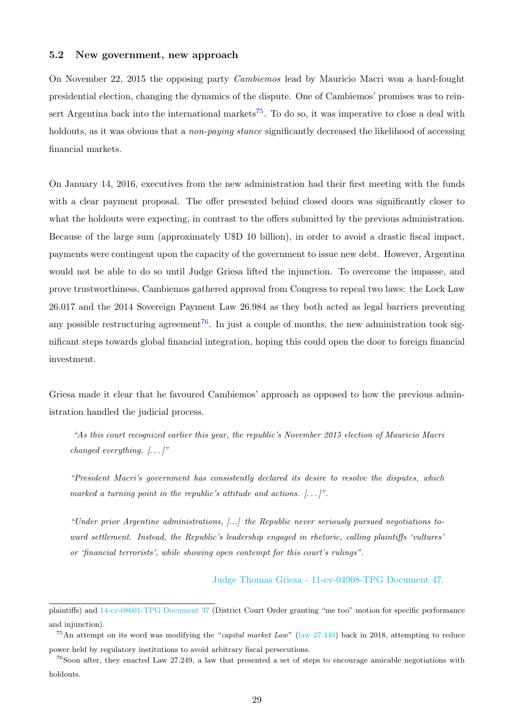#### <span id="page-31-0"></span>5.2 New government, new approach

On November 22, 2015 the opposing party Cambiemos lead by Mauricio Macri won a hard-fought presidential election, changing the dynamics of the dispute. One of Cambiemos' promises was to rein-sert Argentina back into the international markets<sup>[75](#page-31-1)</sup>. To do so, it was imperative to close a deal with holdouts, as it was obvious that a *non-paying stance* significantly decreased the likelihood of accessing financial markets.

On January 14, 2016, executives from the new administration had their first meeting with the funds with a clear payment proposal. The offer presented behind closed doors was significantly closer to what the holdouts were expecting, in contrast to the offers submitted by the previous administration. Because of the large sum (approximately U\$D 10 billion), in order to avoid a drastic fiscal impact, payments were contingent upon the capacity of the government to issue new debt. However, Argentina would not be able to do so until Judge Griesa lifted the injunction. To overcome the impasse, and prove trustworthiness, Cambiemos gathered approval from Congress to repeal two laws: the Lock Law 26.017 and the 2014 Sovereign Payment Law 26.984 as they both acted as legal barriers preventing any possible restructuring agreement<sup>[76](#page-31-2)</sup>. In just a couple of months, the new administration took significant steps towards global financial integration, hoping this could open the door to foreign financial investment.

Griesa made it clear that he favoured Cambiemos' approach as opposed to how the previous administration handled the judicial process.

"As this court recognized earlier this year, the republic's November 2015 election of Mauricio Macri changed everything.  $[\ldots]$ "

"President Macri's government has consistently declared its desire to resolve the disputes, which marked a turning point in the republic's attitude and actions.  $[\dots]$ ".

"Under prior Argentine administrations, [...] the Republic never seriously pursued negotiations toward settlement. Instead, the Republic's leadership engaged in rhetoric, calling plaintiffs 'vultures' or 'financial terrorists', while showing open contempt for this court's rulings".

[Judge Thomas Griesa - 11-cv-04908-TPG Document 47.](https://www.shearman.com/~/media/Files/Services/Argentine-Sovereign-Debt/2016/Arg296-021916-11cv4908-Doc-47.pdf)

plaintiffs) and [14-cv-08601-TPG Document 37](https://www.shearman.com/~/media/Files/Services/Argentine-Sovereign-Debt/2015/Arg266-103015-Doc-37.pdf) (District Court Order granting "me too" motion for specific performance and injunction).

<span id="page-31-1"></span><sup>&</sup>lt;sup>75</sup>An attempt on its word was modifying the "*capital market Law*" [\(law 27.440\)](http://servicios.infoleg.gob.ar/infolegInternet/anexos/310000-314999/310084/norma.htm) back in 2018, attempting to reduce power held by regulatory institutions to avoid arbitrary fiscal persecutions.

<span id="page-31-2"></span> $^{76}$ Soon after, they enacted Law 27.249, a law that presented a set of steps to encourage amicable negotiations with holdouts.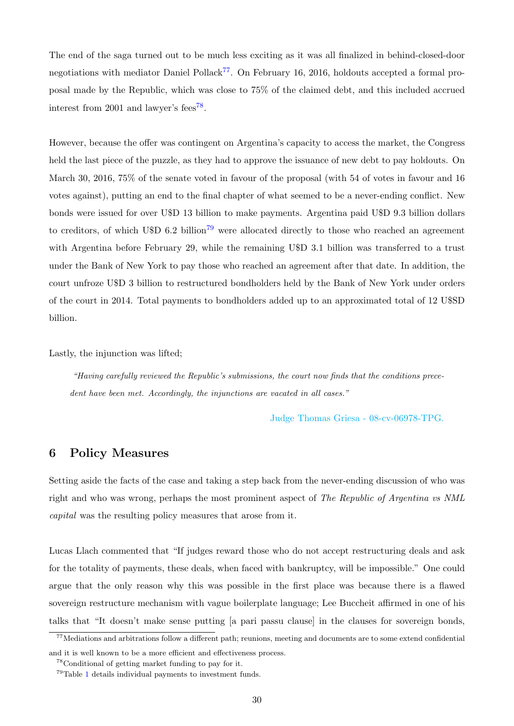The end of the saga turned out to be much less exciting as it was all finalized in behind-closed-door negotiations with mediator Daniel Pollack<sup>[77](#page-32-1)</sup>. On February 16, 2016, holdouts accepted a formal proposal made by the Republic, which was close to 75% of the claimed debt, and this included accrued interest from 2001 and lawyer's fees<sup>[78](#page-32-2)</sup>.

However, because the offer was contingent on Argentina's capacity to access the market, the Congress held the last piece of the puzzle, as they had to approve the issuance of new debt to pay holdouts. On March 30, 2016, 75% of the senate voted in favour of the proposal (with 54 of votes in favour and 16 votes against), putting an end to the final chapter of what seemed to be a never-ending conflict. New bonds were issued for over U\$D 13 billion to make payments. Argentina paid U\$D 9.3 billion dollars to creditors, of which U\$D 6.2 billion<sup>[79](#page-32-3)</sup> were allocated directly to those who reached an agreement with Argentina before February 29, while the remaining U\$D 3.1 billion was transferred to a trust under the Bank of New York to pay those who reached an agreement after that date. In addition, the court unfroze U\$D 3 billion to restructured bondholders held by the Bank of New York under orders of the court in 2014. Total payments to bondholders added up to an approximated total of 12 U\$SD billion.

Lastly, the injunction was lifted;

"Having carefully reviewed the Republic's submissions, the court now finds that the conditions precedent have been met. Accordingly, the injunctions are vacated in all cases."

[Judge Thomas Griesa - 08-cv-06978-TPG.](https://www.shearman.com/~/media/Files/Services/Argentine-Sovereign-Debt/2016/Arg421-order-vacating-422.pdf)

### <span id="page-32-0"></span>6 Policy Measures

Setting aside the facts of the case and taking a step back from the never-ending discussion of who was right and who was wrong, perhaps the most prominent aspect of The Republic of Argentina vs NML capital was the resulting policy measures that arose from it.

Lucas Llach commented that "If judges reward those who do not accept restructuring deals and ask for the totality of payments, these deals, when faced with bankruptcy, will be impossible." One could argue that the only reason why this was possible in the first place was because there is a flawed sovereign restructure mechanism with vague boilerplate language; Lee Buccheit affirmed in one of his talks that "It doesn't make sense putting [a pari passu clause] in the clauses for sovereign bonds,

<span id="page-32-1"></span> $77$ Mediations and arbitrations follow a different path; reunions, meeting and documents are to some extend confidential and it is well known to be a more efficient and effectiveness process.

<span id="page-32-3"></span><span id="page-32-2"></span><sup>78</sup>Conditional of getting market funding to pay for it.

<sup>79</sup>Table [1](#page-43-0) details individual payments to investment funds.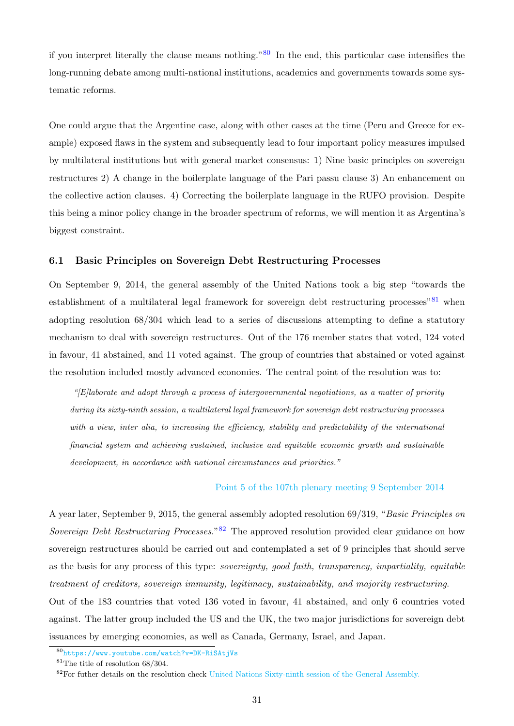if you interpret literally the clause means nothing." $80$  In the end, this particular case intensifies the long-running debate among multi-national institutions, academics and governments towards some systematic reforms.

One could argue that the Argentine case, along with other cases at the time (Peru and Greece for example) exposed flaws in the system and subsequently lead to four important policy measures impulsed by multilateral institutions but with general market consensus: 1) Nine basic principles on sovereign restructures 2) A change in the boilerplate language of the Pari passu clause 3) An enhancement on the collective action clauses. 4) Correcting the boilerplate language in the RUFO provision. Despite this being a minor policy change in the broader spectrum of reforms, we will mention it as Argentina's biggest constraint.

#### <span id="page-33-0"></span>6.1 Basic Principles on Sovereign Debt Restructuring Processes

On September 9, 2014, the general assembly of the United Nations took a big step "towards the establishment of a multilateral legal framework for sovereign debt restructuring processes<sup>"[81](#page-33-2)</sup> when adopting resolution 68/304 which lead to a series of discussions attempting to define a statutory mechanism to deal with sovereign restructures. Out of the 176 member states that voted, 124 voted in favour, 41 abstained, and 11 voted against. The group of countries that abstained or voted against the resolution included mostly advanced economies. The central point of the resolution was to:

"[E]laborate and adopt through a process of intergovernmental negotiations, as a matter of priority during its sixty-ninth session, a multilateral legal framework for sovereign debt restructuring processes with a view, inter alia, to increasing the efficiency, stability and predictability of the international financial system and achieving sustained, inclusive and equitable economic growth and sustainable development, in accordance with national circumstances and priorities."

#### [Point 5 of the 107th plenary meeting 9 September 2014](https://documents-dds-ny.un.org/doc/UNDOC/GEN/N14/530/05/PDF/N1453005.pdf?OpenElement)

A year later, September 9, 2015, the general assembly adopted resolution 69/319, "Basic Principles on Sovereign Debt Restructuring Processes.<sup>[82](#page-33-3)</sup> The approved resolution provided clear guidance on how sovereign restructures should be carried out and contemplated a set of 9 principles that should serve as the basis for any process of this type: sovereignty, good faith, transparency, impartiality, equitable treatment of creditors, sovereign immunity, legitimacy, sustainability, and majority restructuring. Out of the 183 countries that voted 136 voted in favour, 41 abstained, and only 6 countries voted against. The latter group included the US and the UK, the two major jurisdictions for sovereign debt issuances by emerging economies, as well as Canada, Germany, Israel, and Japan.

<span id="page-33-2"></span><span id="page-33-1"></span><sup>80</sup><https://www.youtube.com/watch?v=DK-RiSAtjVs>

<span id="page-33-3"></span><sup>81</sup>The title of resolution 68/304.

<sup>&</sup>lt;sup>82</sup>For futher details on the resolution check [United Nations Sixty-ninth session of the General Assembly.](https://documents-dds-ny.un.org/doc/UNDOC/GEN/N15/277/81/PDF/N1527781.pdf?OpenElement)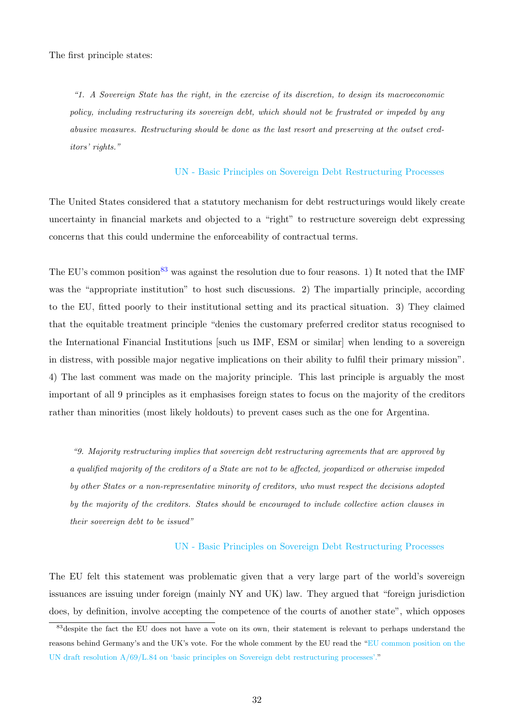"1. A Sovereign State has the right, in the exercise of its discretion, to design its macroeconomic policy, including restructuring its sovereign debt, which should not be frustrated or impeded by any abusive measures. Restructuring should be done as the last resort and preserving at the outset creditors' rights."

#### [UN - Basic Principles on Sovereign Debt Restructuring Processes](https://documents-dds-ny.un.org/doc/UNDOC/GEN/N15/277/81/PDF/N1527781.pdf?OpenElement)

The United States considered that a statutory mechanism for debt restructurings would likely create uncertainty in financial markets and objected to a "right" to restructure sovereign debt expressing concerns that this could undermine the enforceability of contractual terms.

The EU's common position<sup>[83](#page-34-0)</sup> was against the resolution due to four reasons. 1) It noted that the IMF was the "appropriate institution" to host such discussions. 2) The impartially principle, according to the EU, fitted poorly to their institutional setting and its practical situation. 3) They claimed that the equitable treatment principle "denies the customary preferred creditor status recognised to the International Financial Institutions [such us IMF, ESM or similar] when lending to a sovereign in distress, with possible major negative implications on their ability to fulfil their primary mission". 4) The last comment was made on the majority principle. This last principle is arguably the most important of all 9 principles as it emphasises foreign states to focus on the majority of the creditors rather than minorities (most likely holdouts) to prevent cases such as the one for Argentina.

"9. Majority restructuring implies that sovereign debt restructuring agreements that are approved by a qualified majority of the creditors of a State are not to be affected, jeopardized or otherwise impeded by other States or a non-representative minority of creditors, who must respect the decisions adopted by the majority of the creditors. States should be encouraged to include collective action clauses in their sovereign debt to be issued"

#### [UN - Basic Principles on Sovereign Debt Restructuring Processes](https://documents-dds-ny.un.org/doc/UNDOC/GEN/N15/277/81/PDF/N1527781.pdf?OpenElement)

The EU felt this statement was problematic given that a very large part of the world's sovereign issuances are issuing under foreign (mainly NY and UK) law. They argued that "foreign jurisdiction does, by definition, involve accepting the competence of the courts of another state", which opposes

<span id="page-34-0"></span><sup>&</sup>lt;sup>83</sup>despite the fact the EU does not have a vote on its own, their statement is relevant to perhaps understand the reasons behind Germany's and the UK's vote. For the whole comment by the EU read the ["EU common position on the](https://data.consilium.europa.eu/doc/document/ST-11705-2015-INIT/en/pdf) UN draft resolution  $A/69/L.84$  on 'basic principles on Sovereign debt restructuring processes'."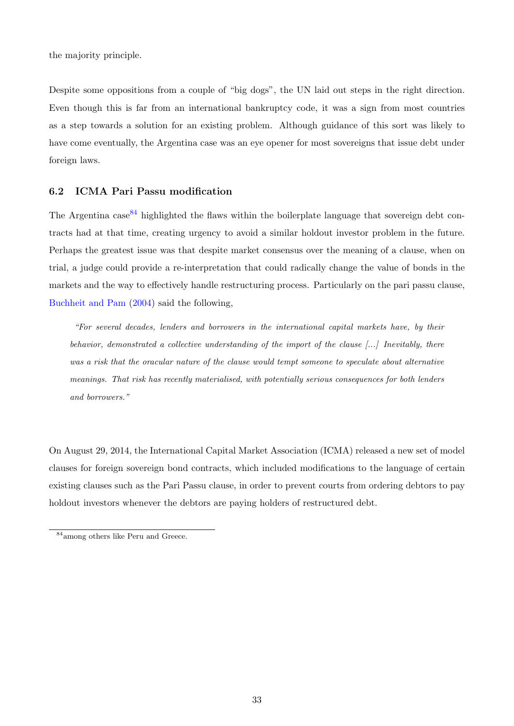the majority principle.

Despite some oppositions from a couple of "big dogs", the UN laid out steps in the right direction. Even though this is far from an international bankruptcy code, it was a sign from most countries as a step towards a solution for an existing problem. Although guidance of this sort was likely to have come eventually, the Argentina case was an eye opener for most sovereigns that issue debt under foreign laws.

#### <span id="page-35-0"></span>6.2 ICMA Pari Passu modification

The Argentina  $\csc^{84}$  $\csc^{84}$  $\csc^{84}$  highlighted the flaws within the boilerplate language that sovereign debt contracts had at that time, creating urgency to avoid a similar holdout investor problem in the future. Perhaps the greatest issue was that despite market consensus over the meaning of a clause, when on trial, a judge could provide a re-interpretation that could radically change the value of bonds in the markets and the way to effectively handle restructuring process. Particularly on the pari passu clause, [Buchheit and Pam](#page-40-13) [\(2004\)](#page-40-13) said the following,

"For several decades, lenders and borrowers in the international capital markets have, by their behavior, demonstrated a collective understanding of the import of the clause [...] Inevitably, there was a risk that the oracular nature of the clause would tempt someone to speculate about alternative meanings. That risk has recently materialised, with potentially serious consequences for both lenders and borrowers."

On August 29, 2014, the International Capital Market Association (ICMA) released a new set of model clauses for foreign sovereign bond contracts, which included modifications to the language of certain existing clauses such as the Pari Passu clause, in order to prevent courts from ordering debtors to pay holdout investors whenever the debtors are paying holders of restructured debt.

<span id="page-35-1"></span><sup>84</sup>among others like Peru and Greece.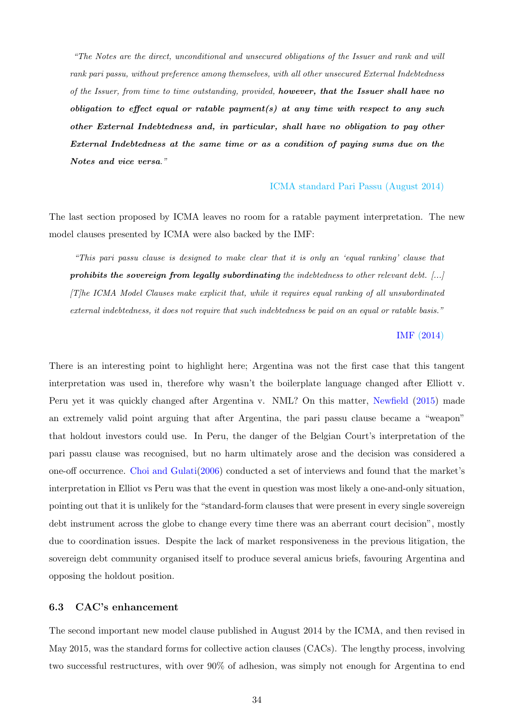"The Notes are the direct, unconditional and unsecured obligations of the Issuer and rank and will rank pari passu, without preference among themselves, with all other unsecured External Indebtedness of the Issuer, from time to time outstanding, provided, however, that the Issuer shall have no obligation to effect equal or ratable payment(s) at any time with respect to any such other External Indebtedness and, in particular, shall have no obligation to pay other External Indebtedness at the same time or as a condition of paying sums due on the Notes and vice versa."

#### [ICMA standard Pari Passu \(August 2014\)](https://www.icmagroup.org/resources/Sovereign-Debt-Information/)

The last section proposed by ICMA leaves no room for a ratable payment interpretation. The new model clauses presented by ICMA were also backed by the IMF:

"This pari passu clause is designed to make clear that it is only an 'equal ranking' clause that prohibits the sovereign from legally subordinating the indebtedness to other relevant debt.  $[\dots]$ [T]he ICMA Model Clauses make explicit that, while it requires equal ranking of all unsubordinated external indebtedness, it does not require that such indebtedness be paid on an equal or ratable basis."

#### [IMF](#page-40-14) [\(2014\)](https://www.imf.org/external/np/pp/eng/2014/090214.pdf)

There is an interesting point to highlight here; Argentina was not the first case that this tangent interpretation was used in, therefore why wasn't the boilerplate language changed after Elliott v. Peru yet it was quickly changed after Argentina v. NML? On this matter, [Newfield](#page-41-8) [\(2015\)](#page-41-8) made an extremely valid point arguing that after Argentina, the pari passu clause became a "weapon" that holdout investors could use. In Peru, the danger of the Belgian Court's interpretation of the pari passu clause was recognised, but no harm ultimately arose and the decision was considered a one-off occurrence. [Choi and Gulati\(2006\)](#page-40-15) conducted a set of interviews and found that the market's interpretation in Elliot vs Peru was that the event in question was most likely a one-and-only situation, pointing out that it is unlikely for the "standard-form clauses that were present in every single sovereign debt instrument across the globe to change every time there was an aberrant court decision", mostly due to coordination issues. Despite the lack of market responsiveness in the previous litigation, the sovereign debt community organised itself to produce several amicus briefs, favouring Argentina and opposing the holdout position.

#### <span id="page-36-0"></span>6.3 CAC's enhancement

The second important new model clause published in August 2014 by the ICMA, and then revised in May 2015, was the standard forms for collective action clauses (CACs). The lengthy process, involving two successful restructures, with over 90% of adhesion, was simply not enough for Argentina to end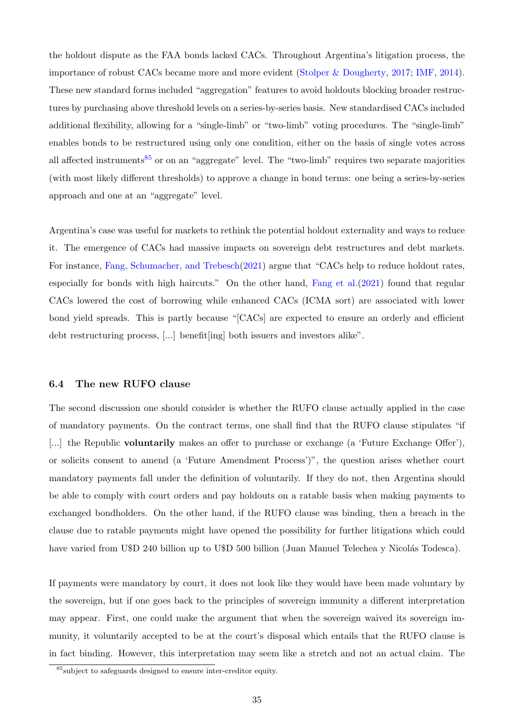the holdout dispute as the FAA bonds lacked CACs. Throughout Argentina's litigation process, the importance of robust CACs became more and more evident [\(Stolper & Dougherty,](#page-41-9) [2017;](#page-41-9) [IMF,](#page-40-14) [2014\)](#page-40-14). These new standard forms included "aggregation" features to avoid holdouts blocking broader restructures by purchasing above threshold levels on a series-by-series basis. New standardised CACs included additional flexibility, allowing for a "single-limb" or "two-limb" voting procedures. The "single-limb" enables bonds to be restructured using only one condition, either on the basis of single votes across all affected instruments<sup>[85](#page-37-1)</sup> or on an "aggregate" level. The "two-limb" requires two separate majorities (with most likely different thresholds) to approve a change in bond terms: one being a series-by-series approach and one at an "aggregate" level.

Argentina's case was useful for markets to rethink the potential holdout externality and ways to reduce it. The emergence of CACs had massive impacts on sovereign debt restructures and debt markets. For instance, [Fang, Schumacher, and Trebesch\(2021\)](#page-40-16) argue that "CACs help to reduce holdout rates, especially for bonds with high haircuts." On the other hand, [Fang et al.\(2021\)](#page-40-16) found that regular CACs lowered the cost of borrowing while enhanced CACs (ICMA sort) are associated with lower bond yield spreads. This is partly because "[CACs] are expected to ensure an orderly and efficient debt restructuring process, [...] benefit[ing] both issuers and investors alike".

#### <span id="page-37-0"></span>6.4 The new RUFO clause

The second discussion one should consider is whether the RUFO clause actually applied in the case of mandatory payments. On the contract terms, one shall find that the RUFO clause stipulates "if [...] the Republic **voluntarily** makes an offer to purchase or exchange (a 'Future Exchange Offer'), or solicits consent to amend (a 'Future Amendment Process')", the question arises whether court mandatory payments fall under the definition of voluntarily. If they do not, then Argentina should be able to comply with court orders and pay holdouts on a ratable basis when making payments to exchanged bondholders. On the other hand, if the RUFO clause was binding, then a breach in the clause due to ratable payments might have opened the possibility for further litigations which could have varied from U\$D 240 billion up to U\$D 500 billion (Juan Manuel Telechea y Nicolás Todesca).

If payments were mandatory by court, it does not look like they would have been made voluntary by the sovereign, but if one goes back to the principles of sovereign immunity a different interpretation may appear. First, one could make the argument that when the sovereign waived its sovereign immunity, it voluntarily accepted to be at the court's disposal which entails that the RUFO clause is in fact binding. However, this interpretation may seem like a stretch and not an actual claim. The

<span id="page-37-1"></span><sup>85</sup>subject to safeguards designed to ensure inter-creditor equity.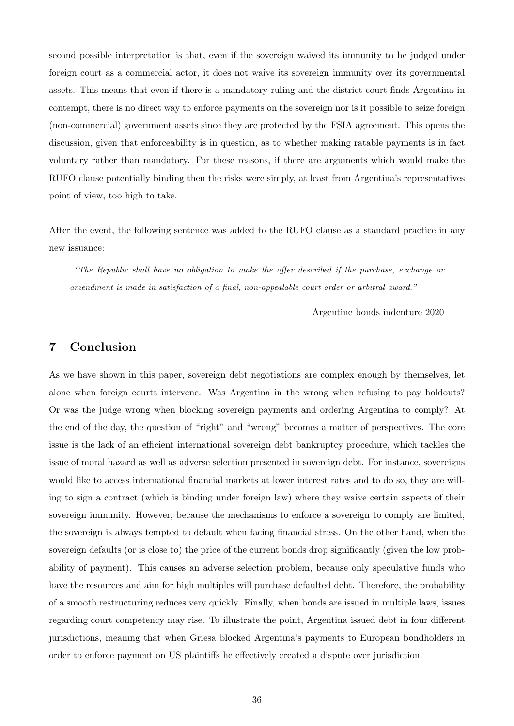second possible interpretation is that, even if the sovereign waived its immunity to be judged under foreign court as a commercial actor, it does not waive its sovereign immunity over its governmental assets. This means that even if there is a mandatory ruling and the district court finds Argentina in contempt, there is no direct way to enforce payments on the sovereign nor is it possible to seize foreign (non-commercial) government assets since they are protected by the FSIA agreement. This opens the discussion, given that enforceability is in question, as to whether making ratable payments is in fact voluntary rather than mandatory. For these reasons, if there are arguments which would make the RUFO clause potentially binding then the risks were simply, at least from Argentina's representatives point of view, too high to take.

After the event, the following sentence was added to the RUFO clause as a standard practice in any new issuance:

"The Republic shall have no obligation to make the offer described if the purchase, exchange or amendment is made in satisfaction of a final, non-appealable court order or arbitral award."

Argentine bonds indenture 2020

### <span id="page-38-0"></span>7 Conclusion

As we have shown in this paper, sovereign debt negotiations are complex enough by themselves, let alone when foreign courts intervene. Was Argentina in the wrong when refusing to pay holdouts? Or was the judge wrong when blocking sovereign payments and ordering Argentina to comply? At the end of the day, the question of "right" and "wrong" becomes a matter of perspectives. The core issue is the lack of an efficient international sovereign debt bankruptcy procedure, which tackles the issue of moral hazard as well as adverse selection presented in sovereign debt. For instance, sovereigns would like to access international financial markets at lower interest rates and to do so, they are willing to sign a contract (which is binding under foreign law) where they waive certain aspects of their sovereign immunity. However, because the mechanisms to enforce a sovereign to comply are limited, the sovereign is always tempted to default when facing financial stress. On the other hand, when the sovereign defaults (or is close to) the price of the current bonds drop significantly (given the low probability of payment). This causes an adverse selection problem, because only speculative funds who have the resources and aim for high multiples will purchase defaulted debt. Therefore, the probability of a smooth restructuring reduces very quickly. Finally, when bonds are issued in multiple laws, issues regarding court competency may rise. To illustrate the point, Argentina issued debt in four different jurisdictions, meaning that when Griesa blocked Argentina's payments to European bondholders in order to enforce payment on US plaintiffs he effectively created a dispute over jurisdiction.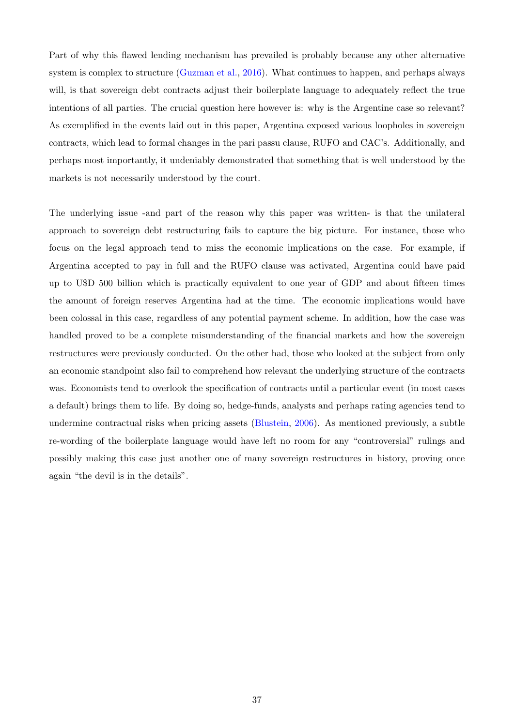Part of why this flawed lending mechanism has prevailed is probably because any other alternative system is complex to structure [\(Guzman et al.,](#page-40-3) [2016\)](#page-40-3). What continues to happen, and perhaps always will, is that sovereign debt contracts adjust their boilerplate language to adequately reflect the true intentions of all parties. The crucial question here however is: why is the Argentine case so relevant? As exemplified in the events laid out in this paper, Argentina exposed various loopholes in sovereign contracts, which lead to formal changes in the pari passu clause, RUFO and CAC's. Additionally, and perhaps most importantly, it undeniably demonstrated that something that is well understood by the markets is not necessarily understood by the court.

The underlying issue -and part of the reason why this paper was written- is that the unilateral approach to sovereign debt restructuring fails to capture the big picture. For instance, those who focus on the legal approach tend to miss the economic implications on the case. For example, if Argentina accepted to pay in full and the RUFO clause was activated, Argentina could have paid up to U\$D 500 billion which is practically equivalent to one year of GDP and about fifteen times the amount of foreign reserves Argentina had at the time. The economic implications would have been colossal in this case, regardless of any potential payment scheme. In addition, how the case was handled proved to be a complete misunderstanding of the financial markets and how the sovereign restructures were previously conducted. On the other had, those who looked at the subject from only an economic standpoint also fail to comprehend how relevant the underlying structure of the contracts was. Economists tend to overlook the specification of contracts until a particular event (in most cases a default) brings them to life. By doing so, hedge-funds, analysts and perhaps rating agencies tend to undermine contractual risks when pricing assets [\(Blustein,](#page-40-17) [2006\)](#page-40-17). As mentioned previously, a subtle re-wording of the boilerplate language would have left no room for any "controversial" rulings and possibly making this case just another one of many sovereign restructures in history, proving once again "the devil is in the details".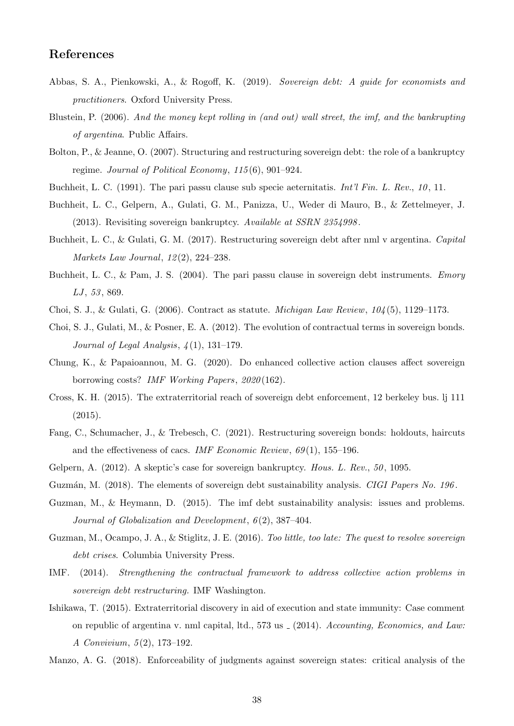### <span id="page-40-0"></span>References

- <span id="page-40-11"></span>Abbas, S. A., Pienkowski, A., & Rogoff, K. (2019). Sovereign debt: A guide for economists and practitioners. Oxford University Press.
- <span id="page-40-17"></span>Blustein, P. (2006). And the money kept rolling in (and out) wall street, the imf, and the bankrupting of argentina. Public Affairs.
- <span id="page-40-12"></span>Bolton, P., & Jeanne, O. (2007). Structuring and restructuring sovereign debt: the role of a bankruptcy regime. Journal of Political Economy, 115 (6), 901–924.
- <span id="page-40-8"></span><span id="page-40-7"></span>Buchheit, L. C. (1991). The pari passu clause sub specie aeternitatis. Int'l Fin. L. Rev., 10, 11.
- Buchheit, L. C., Gelpern, A., Gulati, G. M., Panizza, U., Weder di Mauro, B., & Zettelmeyer, J. (2013). Revisiting sovereign bankruptcy. Available at SSRN 2354998 .
- <span id="page-40-10"></span>Buchheit, L. C., & Gulati, G. M. (2017). Restructuring sovereign debt after nml v argentina. Capital Markets Law Journal, 12(2), 224–238.
- <span id="page-40-13"></span>Buchheit, L. C., & Pam, J. S. (2004). The pari passu clause in sovereign debt instruments. Emory  $LJ, 53, 869.$
- <span id="page-40-15"></span>Choi, S. J., & Gulati, G.  $(2006)$ . Contract as statute. *Michigan Law Review*,  $104(5)$ , 1129–1173.
- Choi, S. J., Gulati, M., & Posner, E. A. (2012). The evolution of contractual terms in sovereign bonds. Journal of Legal Analysis,  $\mathcal{A}(1)$ , 131–179.
- Chung, K., & Papaioannou, M. G. (2020). Do enhanced collective action clauses affect sovereign borrowing costs? IMF Working Papers, 2020 (162).
- <span id="page-40-4"></span>Cross, K. H. (2015). The extraterritorial reach of sovereign debt enforcement, 12 berkeley bus. lj 111 (2015).
- <span id="page-40-16"></span>Fang, C., Schumacher, J., & Trebesch, C. (2021). Restructuring sovereign bonds: holdouts, haircuts and the effectiveness of cacs. IMF Economic Review,  $69(1)$ , 155–196.
- <span id="page-40-6"></span><span id="page-40-1"></span>Gelpern, A. (2012). A skeptic's case for sovereign bankruptcy. Hous. L. Rev., 50, 1095.
- <span id="page-40-2"></span>Guzmán, M. (2018). The elements of sovereign debt sustainability analysis. CIGI Papers No. 196.
- Guzman, M., & Heymann, D. (2015). The imf debt sustainability analysis: issues and problems. Journal of Globalization and Development,  $6(2)$ , 387-404.
- <span id="page-40-3"></span>Guzman, M., Ocampo, J. A., & Stiglitz, J. E. (2016). Too little, too late: The quest to resolve sovereign debt crises. Columbia University Press.
- <span id="page-40-14"></span>IMF. (2014). Strengthening the contractual framework to address collective action problems in sovereign debt restructuring. IMF Washington.
- <span id="page-40-5"></span>Ishikawa, T. (2015). Extraterritorial discovery in aid of execution and state immunity: Case comment on republic of argentina v. nml capital, ltd., 573 us  $(2014)$ . Accounting, Economics, and Law: A Convivium, 5(2), 173-192.
- <span id="page-40-9"></span>Manzo, A. G. (2018). Enforceability of judgments against sovereign states: critical analysis of the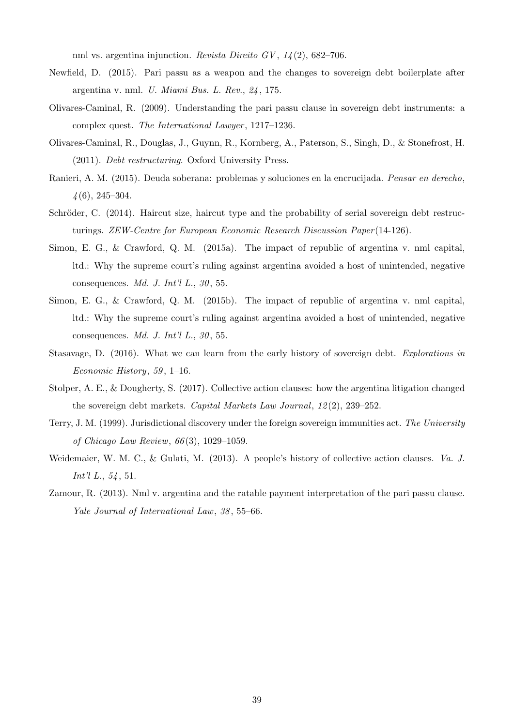nml vs. argentina injunction. *Revista Direito GV*,  $1/4(2)$ , 682–706.

- <span id="page-41-8"></span>Newfield, D. (2015). Pari passu as a weapon and the changes to sovereign debt boilerplate after argentina v. nml. U. Miami Bus. L. Rev., 24 , 175.
- <span id="page-41-4"></span>Olivares-Caminal, R. (2009). Understanding the pari passu clause in sovereign debt instruments: a complex quest. The International Lawyer, 1217–1236.
- <span id="page-41-5"></span>Olivares-Caminal, R., Douglas, J., Guynn, R., Kornberg, A., Paterson, S., Singh, D., & Stonefrost, H. (2011). Debt restructuring. Oxford University Press.
- Ranieri, A. M. (2015). Deuda soberana: problemas y soluciones en la encrucijada. Pensar en derecho,  $\frac{4}{6}$ , 245–304.
- <span id="page-41-1"></span>Schröder, C. (2014). Haircut size, haircut type and the probability of serial sovereign debt restructurings. ZEW-Centre for European Economic Research Discussion Paper (14-126).
- <span id="page-41-2"></span>Simon, E. G., & Crawford, Q. M. (2015a). The impact of republic of argentina v. nml capital, ltd.: Why the supreme court's ruling against argentina avoided a host of unintended, negative consequences. Md. J. Int'l L.,  $30, 55$ .
- <span id="page-41-7"></span>Simon, E. G., & Crawford, Q. M. (2015b). The impact of republic of argentina v. nml capital, ltd.: Why the supreme court's ruling against argentina avoided a host of unintended, negative consequences. Md. J. Int'l L.,  $30, 55$ .
- <span id="page-41-0"></span>Stasavage, D. (2016). What we can learn from the early history of sovereign debt. Explorations in Economic History, 59, 1–16.
- <span id="page-41-9"></span>Stolper, A. E., & Dougherty, S. (2017). Collective action clauses: how the argentina litigation changed the sovereign debt markets. Capital Markets Law Journal,  $12(2)$ ,  $239-252$ .
- Terry, J. M. (1999). Jurisdictional discovery under the foreign sovereign immunities act. The University of Chicago Law Review, 66 (3), 1029–1059.
- <span id="page-41-6"></span>Weidemaier, W. M. C., & Gulati, M. (2013). A people's history of collective action clauses. Va. J. Int'l L., 54, 51.
- <span id="page-41-3"></span>Zamour, R. (2013). Nml v. argentina and the ratable payment interpretation of the pari passu clause. Yale Journal of International Law, 38 , 55–66.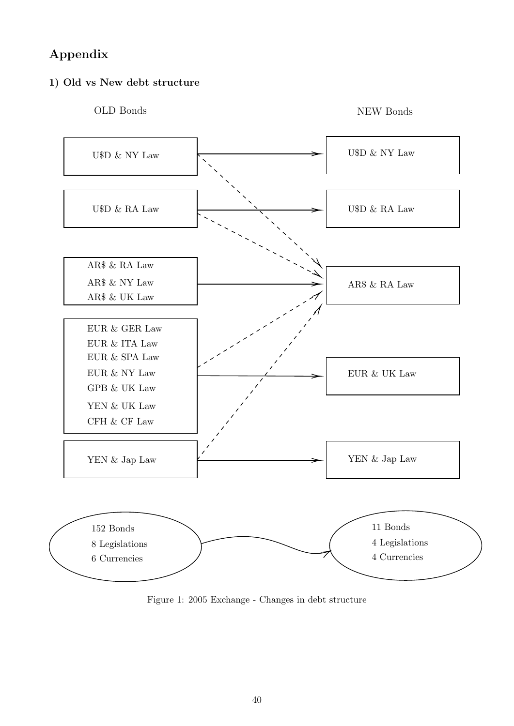# <span id="page-42-0"></span>Appendix

### 1) Old vs New debt structure



NEW Bonds



Figure 1: 2005 Exchange - Changes in debt structure